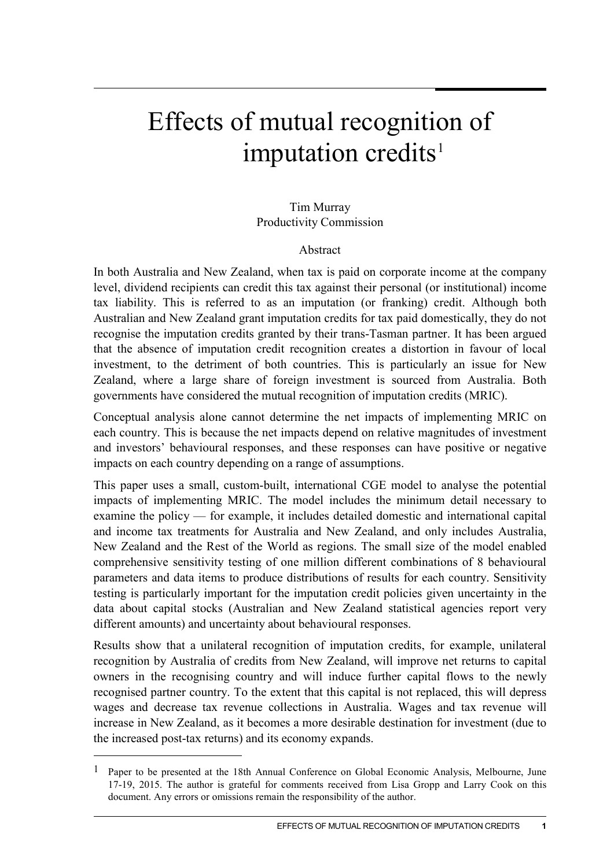# Effects of mutual recognition of imputation credits<sup>[1](#page-0-0)</sup>

#### Tim Murray Productivity Commission

#### Abstract

In both Australia and New Zealand, when tax is paid on corporate income at the company level, dividend recipients can credit this tax against their personal (or institutional) income tax liability. This is referred to as an imputation (or franking) credit. Although both Australian and New Zealand grant imputation credits for tax paid domestically, they do not recognise the imputation credits granted by their trans-Tasman partner. It has been argued that the absence of imputation credit recognition creates a distortion in favour of local investment, to the detriment of both countries. This is particularly an issue for New Zealand, where a large share of foreign investment is sourced from Australia. Both governments have considered the mutual recognition of imputation credits (MRIC).

Conceptual analysis alone cannot determine the net impacts of implementing MRIC on each country. This is because the net impacts depend on relative magnitudes of investment and investors' behavioural responses, and these responses can have positive or negative impacts on each country depending on a range of assumptions.

This paper uses a small, custom-built, international CGE model to analyse the potential impacts of implementing MRIC. The model includes the minimum detail necessary to examine the policy — for example, it includes detailed domestic and international capital and income tax treatments for Australia and New Zealand, and only includes Australia, New Zealand and the Rest of the World as regions. The small size of the model enabled comprehensive sensitivity testing of one million different combinations of 8 behavioural parameters and data items to produce distributions of results for each country. Sensitivity testing is particularly important for the imputation credit policies given uncertainty in the data about capital stocks (Australian and New Zealand statistical agencies report very different amounts) and uncertainty about behavioural responses.

Results show that a unilateral recognition of imputation credits, for example, unilateral recognition by Australia of credits from New Zealand, will improve net returns to capital owners in the recognising country and will induce further capital flows to the newly recognised partner country. To the extent that this capital is not replaced, this will depress wages and decrease tax revenue collections in Australia. Wages and tax revenue will increase in New Zealand, as it becomes a more desirable destination for investment (due to the increased post-tax returns) and its economy expands.

-

<span id="page-0-0"></span><sup>1</sup> Paper to be presented at the 18th Annual Conference on Global Economic Analysis, Melbourne, June 17-19, 2015. The author is grateful for comments received from Lisa Gropp and Larry Cook on this document. Any errors or omissions remain the responsibility of the author.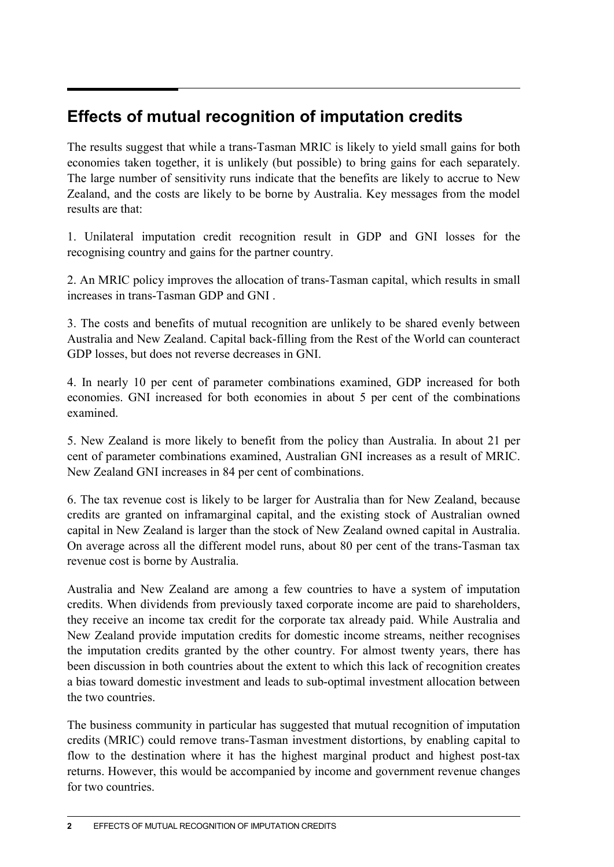## **Effects of mutual recognition of imputation credits**

The results suggest that while a trans-Tasman MRIC is likely to yield small gains for both economies taken together, it is unlikely (but possible) to bring gains for each separately. The large number of sensitivity runs indicate that the benefits are likely to accrue to New Zealand, and the costs are likely to be borne by Australia. Key messages from the model results are that:

1. Unilateral imputation credit recognition result in GDP and GNI losses for the recognising country and gains for the partner country.

2. An MRIC policy improves the allocation of trans-Tasman capital, which results in small increases in trans-Tasman GDP and GNI .

3. The costs and benefits of mutual recognition are unlikely to be shared evenly between Australia and New Zealand. Capital back-filling from the Rest of the World can counteract GDP losses, but does not reverse decreases in GNI.

4. In nearly 10 per cent of parameter combinations examined, GDP increased for both economies. GNI increased for both economies in about 5 per cent of the combinations examined.

5. New Zealand is more likely to benefit from the policy than Australia. In about 21 per cent of parameter combinations examined, Australian GNI increases as a result of MRIC. New Zealand GNI increases in 84 per cent of combinations.

6. The tax revenue cost is likely to be larger for Australia than for New Zealand, because credits are granted on inframarginal capital, and the existing stock of Australian owned capital in New Zealand is larger than the stock of New Zealand owned capital in Australia. On average across all the different model runs, about 80 per cent of the trans-Tasman tax revenue cost is borne by Australia.

Australia and New Zealand are among a few countries to have a system of imputation credits. When dividends from previously taxed corporate income are paid to shareholders, they receive an income tax credit for the corporate tax already paid. While Australia and New Zealand provide imputation credits for domestic income streams, neither recognises the imputation credits granted by the other country. For almost twenty years, there has been discussion in both countries about the extent to which this lack of recognition creates a bias toward domestic investment and leads to sub-optimal investment allocation between the two countries.

The business community in particular has suggested that mutual recognition of imputation credits (MRIC) could remove trans-Tasman investment distortions, by enabling capital to flow to the destination where it has the highest marginal product and highest post-tax returns. However, this would be accompanied by income and government revenue changes for two countries.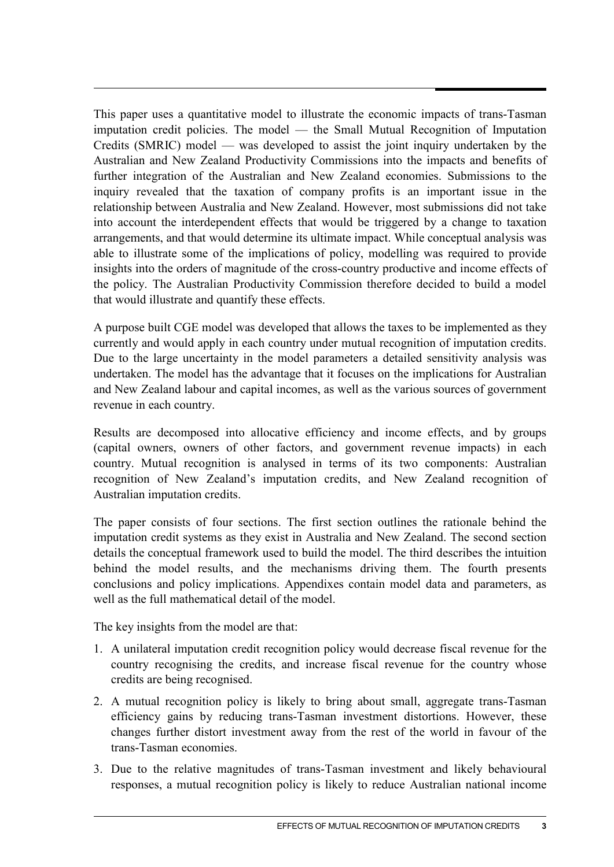This paper uses a quantitative model to illustrate the economic impacts of trans-Tasman imputation credit policies. The model — the Small Mutual Recognition of Imputation Credits (SMRIC) model — was developed to assist the joint inquiry undertaken by the Australian and New Zealand Productivity Commissions into the impacts and benefits of further integration of the Australian and New Zealand economies. Submissions to the inquiry revealed that the taxation of company profits is an important issue in the relationship between Australia and New Zealand. However, most submissions did not take into account the interdependent effects that would be triggered by a change to taxation arrangements, and that would determine its ultimate impact. While conceptual analysis was able to illustrate some of the implications of policy, modelling was required to provide insights into the orders of magnitude of the cross-country productive and income effects of the policy. The Australian Productivity Commission therefore decided to build a model that would illustrate and quantify these effects.

A purpose built CGE model was developed that allows the taxes to be implemented as they currently and would apply in each country under mutual recognition of imputation credits. Due to the large uncertainty in the model parameters a detailed sensitivity analysis was undertaken. The model has the advantage that it focuses on the implications for Australian and New Zealand labour and capital incomes, as well as the various sources of government revenue in each country.

Results are decomposed into allocative efficiency and income effects, and by groups (capital owners, owners of other factors, and government revenue impacts) in each country. Mutual recognition is analysed in terms of its two components: Australian recognition of New Zealand's imputation credits, and New Zealand recognition of Australian imputation credits.

The paper consists of four sections. The first section outlines the rationale behind the imputation credit systems as they exist in Australia and New Zealand. The second section details the conceptual framework used to build the model. The third describes the intuition behind the model results, and the mechanisms driving them. The fourth presents conclusions and policy implications. Appendixes contain model data and parameters, as well as the full mathematical detail of the model

The key insights from the model are that:

- 1. A unilateral imputation credit recognition policy would decrease fiscal revenue for the country recognising the credits, and increase fiscal revenue for the country whose credits are being recognised.
- 2. A mutual recognition policy is likely to bring about small, aggregate trans-Tasman efficiency gains by reducing trans-Tasman investment distortions. However, these changes further distort investment away from the rest of the world in favour of the trans-Tasman economies.
- 3. Due to the relative magnitudes of trans-Tasman investment and likely behavioural responses, a mutual recognition policy is likely to reduce Australian national income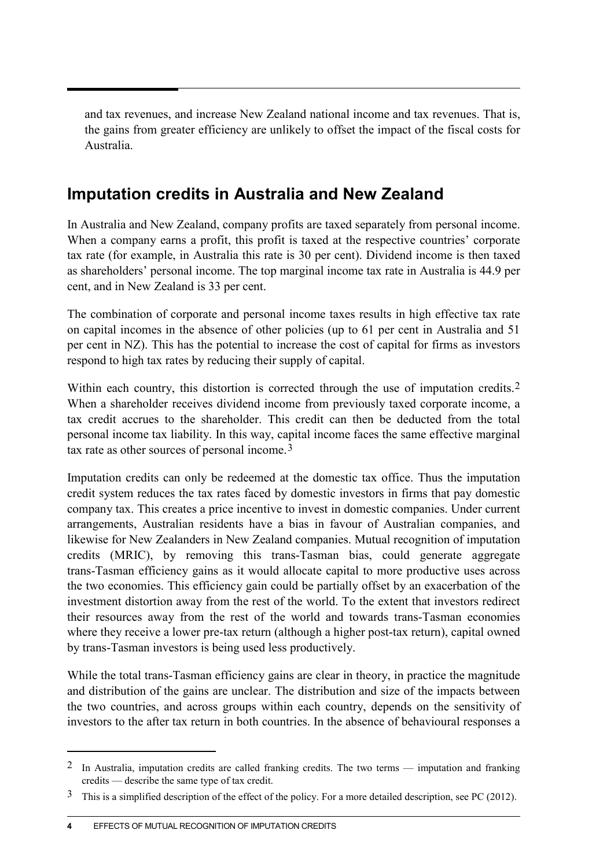and tax revenues, and increase New Zealand national income and tax revenues. That is, the gains from greater efficiency are unlikely to offset the impact of the fiscal costs for Australia.

## **Imputation credits in Australia and New Zealand**

In Australia and New Zealand, company profits are taxed separately from personal income. When a company earns a profit, this profit is taxed at the respective countries' corporate tax rate (for example, in Australia this rate is 30 per cent). Dividend income is then taxed as shareholders' personal income. The top marginal income tax rate in Australia is 44.9 per cent, and in New Zealand is 33 per cent.

The combination of corporate and personal income taxes results in high effective tax rate on capital incomes in the absence of other policies (up to 61 per cent in Australia and 51 per cent in NZ). This has the potential to increase the cost of capital for firms as investors respond to high tax rates by reducing their supply of capital.

Within each country, this distortion is corrected through the use of imputation credits.<sup>[2](#page-3-0)</sup> When a shareholder receives dividend income from previously taxed corporate income, a tax credit accrues to the shareholder. This credit can then be deducted from the total personal income tax liability. In this way, capital income faces the same effective marginal tax rate as other sources of personal income.[3](#page-3-1)

Imputation credits can only be redeemed at the domestic tax office. Thus the imputation credit system reduces the tax rates faced by domestic investors in firms that pay domestic company tax. This creates a price incentive to invest in domestic companies. Under current arrangements, Australian residents have a bias in favour of Australian companies, and likewise for New Zealanders in New Zealand companies. Mutual recognition of imputation credits (MRIC), by removing this trans-Tasman bias, could generate aggregate trans-Tasman efficiency gains as it would allocate capital to more productive uses across the two economies. This efficiency gain could be partially offset by an exacerbation of the investment distortion away from the rest of the world. To the extent that investors redirect their resources away from the rest of the world and towards trans-Tasman economies where they receive a lower pre-tax return (although a higher post-tax return), capital owned by trans-Tasman investors is being used less productively.

While the total trans-Tasman efficiency gains are clear in theory, in practice the magnitude and distribution of the gains are unclear. The distribution and size of the impacts between the two countries, and across groups within each country, depends on the sensitivity of investors to the after tax return in both countries. In the absence of behavioural responses a

 $\overline{a}$ 

<span id="page-3-0"></span><sup>2</sup> In Australia, imputation credits are called franking credits. The two terms — imputation and franking credits — describe the same type of tax credit.

<span id="page-3-1"></span><sup>&</sup>lt;sup>3</sup> This is a simplified description of the effect of the policy. For a more detailed description, see PC (2012).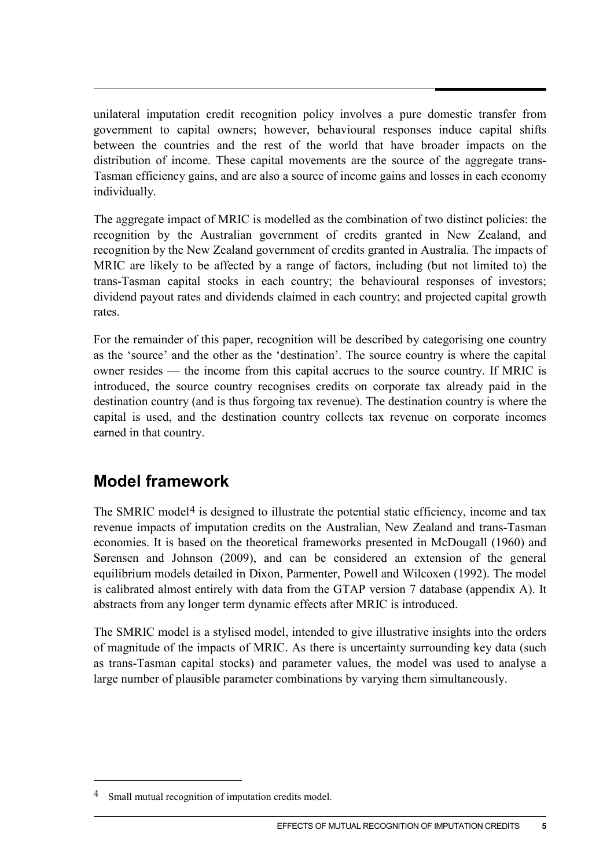unilateral imputation credit recognition policy involves a pure domestic transfer from government to capital owners; however, behavioural responses induce capital shifts between the countries and the rest of the world that have broader impacts on the distribution of income. These capital movements are the source of the aggregate trans-Tasman efficiency gains, and are also a source of income gains and losses in each economy individually.

The aggregate impact of MRIC is modelled as the combination of two distinct policies: the recognition by the Australian government of credits granted in New Zealand, and recognition by the New Zealand government of credits granted in Australia. The impacts of MRIC are likely to be affected by a range of factors, including (but not limited to) the trans-Tasman capital stocks in each country; the behavioural responses of investors; dividend payout rates and dividends claimed in each country; and projected capital growth rates.

For the remainder of this paper, recognition will be described by categorising one country as the 'source' and the other as the 'destination'. The source country is where the capital owner resides — the income from this capital accrues to the source country. If MRIC is introduced, the source country recognises credits on corporate tax already paid in the destination country (and is thus forgoing tax revenue). The destination country is where the capital is used, and the destination country collects tax revenue on corporate incomes earned in that country.

## **Model framework**

The SMRIC model<sup>[4](#page-4-0)</sup> is designed to illustrate the potential static efficiency, income and tax revenue impacts of imputation credits on the Australian, New Zealand and trans-Tasman economies. It is based on the theoretical frameworks presented in McDougall (1960) and Sørensen and Johnson (2009), and can be considered an extension of the general equilibrium models detailed in Dixon, Parmenter, Powell and Wilcoxen (1992). The model is calibrated almost entirely with data from the GTAP version 7 database (appendix A). It abstracts from any longer term dynamic effects after MRIC is introduced.

The SMRIC model is a stylised model, intended to give illustrative insights into the orders of magnitude of the impacts of MRIC. As there is uncertainty surrounding key data (such as trans-Tasman capital stocks) and parameter values, the model was used to analyse a large number of plausible parameter combinations by varying them simultaneously.

-

<span id="page-4-0"></span><sup>4</sup> Small mutual recognition of imputation credits model.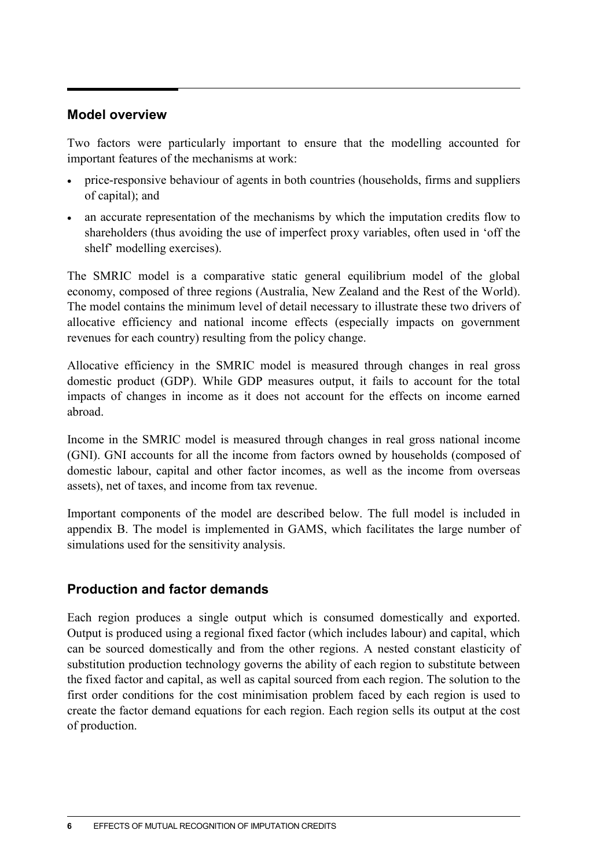#### **Model overview**

Two factors were particularly important to ensure that the modelling accounted for important features of the mechanisms at work:

- price-responsive behaviour of agents in both countries (households, firms and suppliers of capital); and
- an accurate representation of the mechanisms by which the imputation credits flow to shareholders (thus avoiding the use of imperfect proxy variables, often used in 'off the shelf' modelling exercises).

The SMRIC model is a comparative static general equilibrium model of the global economy, composed of three regions (Australia, New Zealand and the Rest of the World). The model contains the minimum level of detail necessary to illustrate these two drivers of allocative efficiency and national income effects (especially impacts on government revenues for each country) resulting from the policy change.

Allocative efficiency in the SMRIC model is measured through changes in real gross domestic product (GDP). While GDP measures output, it fails to account for the total impacts of changes in income as it does not account for the effects on income earned abroad.

Income in the SMRIC model is measured through changes in real gross national income (GNI). GNI accounts for all the income from factors owned by households (composed of domestic labour, capital and other factor incomes, as well as the income from overseas assets), net of taxes, and income from tax revenue.

Important components of the model are described below. The full model is included in appendix B. The model is implemented in GAMS, which facilitates the large number of simulations used for the sensitivity analysis.

#### **Production and factor demands**

Each region produces a single output which is consumed domestically and exported. Output is produced using a regional fixed factor (which includes labour) and capital, which can be sourced domestically and from the other regions. A nested constant elasticity of substitution production technology governs the ability of each region to substitute between the fixed factor and capital, as well as capital sourced from each region. The solution to the first order conditions for the cost minimisation problem faced by each region is used to create the factor demand equations for each region. Each region sells its output at the cost of production.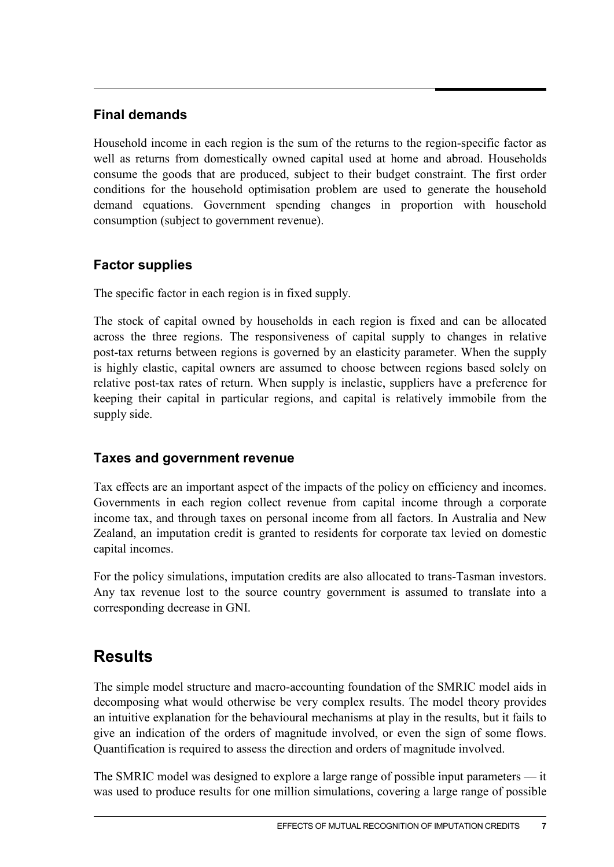#### **Final demands**

Household income in each region is the sum of the returns to the region-specific factor as well as returns from domestically owned capital used at home and abroad. Households consume the goods that are produced, subject to their budget constraint. The first order conditions for the household optimisation problem are used to generate the household demand equations. Government spending changes in proportion with household consumption (subject to government revenue).

#### **Factor supplies**

The specific factor in each region is in fixed supply.

The stock of capital owned by households in each region is fixed and can be allocated across the three regions. The responsiveness of capital supply to changes in relative post-tax returns between regions is governed by an elasticity parameter. When the supply is highly elastic, capital owners are assumed to choose between regions based solely on relative post-tax rates of return. When supply is inelastic, suppliers have a preference for keeping their capital in particular regions, and capital is relatively immobile from the supply side.

#### **Taxes and government revenue**

Tax effects are an important aspect of the impacts of the policy on efficiency and incomes. Governments in each region collect revenue from capital income through a corporate income tax, and through taxes on personal income from all factors. In Australia and New Zealand, an imputation credit is granted to residents for corporate tax levied on domestic capital incomes.

For the policy simulations, imputation credits are also allocated to trans-Tasman investors. Any tax revenue lost to the source country government is assumed to translate into a corresponding decrease in GNI.

## **Results**

The simple model structure and macro-accounting foundation of the SMRIC model aids in decomposing what would otherwise be very complex results. The model theory provides an intuitive explanation for the behavioural mechanisms at play in the results, but it fails to give an indication of the orders of magnitude involved, or even the sign of some flows. Quantification is required to assess the direction and orders of magnitude involved.

The SMRIC model was designed to explore a large range of possible input parameters — it was used to produce results for one million simulations, covering a large range of possible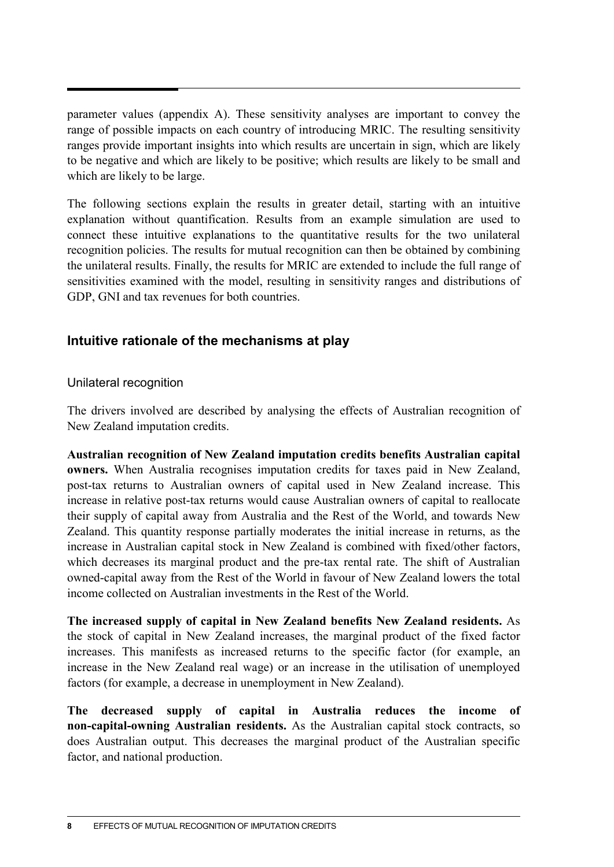parameter values (appendix A). These sensitivity analyses are important to convey the range of possible impacts on each country of introducing MRIC. The resulting sensitivity ranges provide important insights into which results are uncertain in sign, which are likely to be negative and which are likely to be positive; which results are likely to be small and which are likely to be large.

The following sections explain the results in greater detail, starting with an intuitive explanation without quantification. Results from an example simulation are used to connect these intuitive explanations to the quantitative results for the two unilateral recognition policies. The results for mutual recognition can then be obtained by combining the unilateral results. Finally, the results for MRIC are extended to include the full range of sensitivities examined with the model, resulting in sensitivity ranges and distributions of GDP, GNI and tax revenues for both countries.

#### **Intuitive rationale of the mechanisms at play**

#### Unilateral recognition

The drivers involved are described by analysing the effects of Australian recognition of New Zealand imputation credits.

**Australian recognition of New Zealand imputation credits benefits Australian capital owners.** When Australia recognises imputation credits for taxes paid in New Zealand, post-tax returns to Australian owners of capital used in New Zealand increase. This increase in relative post-tax returns would cause Australian owners of capital to reallocate their supply of capital away from Australia and the Rest of the World, and towards New Zealand. This quantity response partially moderates the initial increase in returns, as the increase in Australian capital stock in New Zealand is combined with fixed/other factors, which decreases its marginal product and the pre-tax rental rate. The shift of Australian owned-capital away from the Rest of the World in favour of New Zealand lowers the total income collected on Australian investments in the Rest of the World.

**The increased supply of capital in New Zealand benefits New Zealand residents.** As the stock of capital in New Zealand increases, the marginal product of the fixed factor increases. This manifests as increased returns to the specific factor (for example, an increase in the New Zealand real wage) or an increase in the utilisation of unemployed factors (for example, a decrease in unemployment in New Zealand).

**The decreased supply of capital in Australia reduces the income of non-capital-owning Australian residents.** As the Australian capital stock contracts, so does Australian output. This decreases the marginal product of the Australian specific factor, and national production.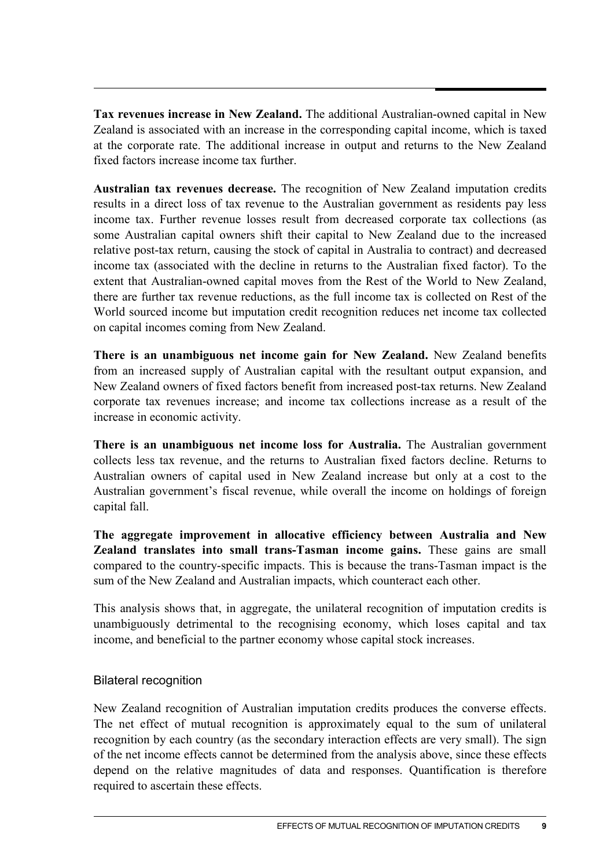**Tax revenues increase in New Zealand.** The additional Australian-owned capital in New Zealand is associated with an increase in the corresponding capital income, which is taxed at the corporate rate. The additional increase in output and returns to the New Zealand fixed factors increase income tax further.

**Australian tax revenues decrease.** The recognition of New Zealand imputation credits results in a direct loss of tax revenue to the Australian government as residents pay less income tax. Further revenue losses result from decreased corporate tax collections (as some Australian capital owners shift their capital to New Zealand due to the increased relative post-tax return, causing the stock of capital in Australia to contract) and decreased income tax (associated with the decline in returns to the Australian fixed factor). To the extent that Australian-owned capital moves from the Rest of the World to New Zealand, there are further tax revenue reductions, as the full income tax is collected on Rest of the World sourced income but imputation credit recognition reduces net income tax collected on capital incomes coming from New Zealand.

**There is an unambiguous net income gain for New Zealand.** New Zealand benefits from an increased supply of Australian capital with the resultant output expansion, and New Zealand owners of fixed factors benefit from increased post-tax returns. New Zealand corporate tax revenues increase; and income tax collections increase as a result of the increase in economic activity.

**There is an unambiguous net income loss for Australia.** The Australian government collects less tax revenue, and the returns to Australian fixed factors decline. Returns to Australian owners of capital used in New Zealand increase but only at a cost to the Australian government's fiscal revenue, while overall the income on holdings of foreign capital fall.

**The aggregate improvement in allocative efficiency between Australia and New Zealand translates into small trans-Tasman income gains.** These gains are small compared to the country-specific impacts. This is because the trans-Tasman impact is the sum of the New Zealand and Australian impacts, which counteract each other.

This analysis shows that, in aggregate, the unilateral recognition of imputation credits is unambiguously detrimental to the recognising economy, which loses capital and tax income, and beneficial to the partner economy whose capital stock increases.

#### Bilateral recognition

New Zealand recognition of Australian imputation credits produces the converse effects. The net effect of mutual recognition is approximately equal to the sum of unilateral recognition by each country (as the secondary interaction effects are very small). The sign of the net income effects cannot be determined from the analysis above, since these effects depend on the relative magnitudes of data and responses. Quantification is therefore required to ascertain these effects.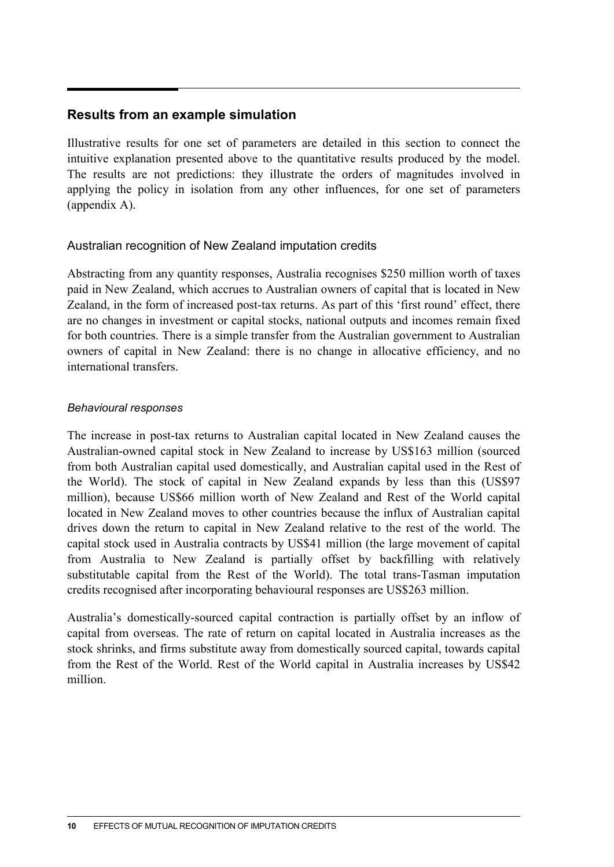#### **Results from an example simulation**

Illustrative results for one set of parameters are detailed in this section to connect the intuitive explanation presented above to the quantitative results produced by the model. The results are not predictions: they illustrate the orders of magnitudes involved in applying the policy in isolation from any other influences, for one set of parameters (appendix A).

#### Australian recognition of New Zealand imputation credits

Abstracting from any quantity responses, Australia recognises \$250 million worth of taxes paid in New Zealand, which accrues to Australian owners of capital that is located in New Zealand, in the form of increased post-tax returns. As part of this 'first round' effect, there are no changes in investment or capital stocks, national outputs and incomes remain fixed for both countries. There is a simple transfer from the Australian government to Australian owners of capital in New Zealand: there is no change in allocative efficiency, and no international transfers.

#### *Behavioural responses*

The increase in post-tax returns to Australian capital located in New Zealand causes the Australian-owned capital stock in New Zealand to increase by US\$163 million (sourced from both Australian capital used domestically, and Australian capital used in the Rest of the World). The stock of capital in New Zealand expands by less than this (US\$97 million), because US\$66 million worth of New Zealand and Rest of the World capital located in New Zealand moves to other countries because the influx of Australian capital drives down the return to capital in New Zealand relative to the rest of the world. The capital stock used in Australia contracts by US\$41 million (the large movement of capital from Australia to New Zealand is partially offset by backfilling with relatively substitutable capital from the Rest of the World). The total trans-Tasman imputation credits recognised after incorporating behavioural responses are US\$263 million.

Australia's domestically-sourced capital contraction is partially offset by an inflow of capital from overseas. The rate of return on capital located in Australia increases as the stock shrinks, and firms substitute away from domestically sourced capital, towards capital from the Rest of the World. Rest of the World capital in Australia increases by US\$42 million.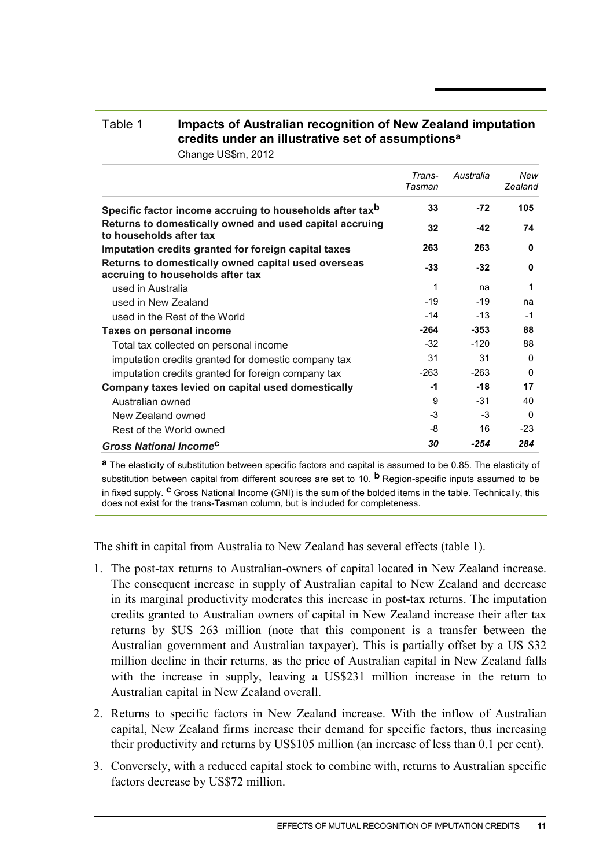### Table 1 **Impacts of Australian recognition of New Zealand imputation credits under an illustrative set of assumptionsa**

Change US\$m, 2012

|                                                                                         | Trans-<br>Tasman | Australia | New<br>Zealand |
|-----------------------------------------------------------------------------------------|------------------|-----------|----------------|
| Specific factor income accruing to households after tax <sup>b</sup>                    | 33               | $-72$     | 105            |
| Returns to domestically owned and used capital accruing<br>to households after tax      | 32               | -42       | 74             |
| Imputation credits granted for foreign capital taxes                                    | 263              | 263       | $\bf{0}$       |
| Returns to domestically owned capital used overseas<br>accruing to households after tax | $-33$            | $-32$     | 0              |
| used in Australia                                                                       | 1                | na        | 1              |
| used in New Zealand                                                                     | $-19$            | $-19$     | na             |
| used in the Rest of the World                                                           | -14              | $-13$     | $-1$           |
| Taxes on personal income                                                                | -264             | $-353$    | 88             |
| Total tax collected on personal income                                                  | $-32$            | $-120$    | 88             |
| imputation credits granted for domestic company tax                                     | 31               | 31        | $\Omega$       |
| imputation credits granted for foreign company tax                                      | $-263$           | $-263$    | $\Omega$       |
| Company taxes levied on capital used domestically                                       | -1               | $-18$     | 17             |
| Australian owned                                                                        | 9                | $-31$     | 40             |
| New Zealand owned                                                                       | $-3$             | $-3$      | $\Omega$       |
| Rest of the World owned                                                                 | -8               | 16        | $-23$          |
| <b>Gross National Income<sup>c</sup></b>                                                | 30               | $-254$    | 284            |

**a** The elasticity of substitution between specific factors and capital is assumed to be 0.85. The elasticity of substitution between capital from different sources are set to 10. **b** Region-specific inputs assumed to be in fixed supply. **c** Gross National Income (GNI) is the sum of the bolded items in the table. Technically, this does not exist for the trans-Tasman column, but is included for completeness.

The shift in capital from Australia to New Zealand has several effects (table 1).

- 1. The post-tax returns to Australian-owners of capital located in New Zealand increase. The consequent increase in supply of Australian capital to New Zealand and decrease in its marginal productivity moderates this increase in post-tax returns. The imputation credits granted to Australian owners of capital in New Zealand increase their after tax returns by \$US 263 million (note that this component is a transfer between the Australian government and Australian taxpayer). This is partially offset by a US \$32 million decline in their returns, as the price of Australian capital in New Zealand falls with the increase in supply, leaving a US\$231 million increase in the return to Australian capital in New Zealand overall.
- 2. Returns to specific factors in New Zealand increase. With the inflow of Australian capital, New Zealand firms increase their demand for specific factors, thus increasing their productivity and returns by US\$105 million (an increase of less than 0.1 per cent).
- 3. Conversely, with a reduced capital stock to combine with, returns to Australian specific factors decrease by US\$72 million.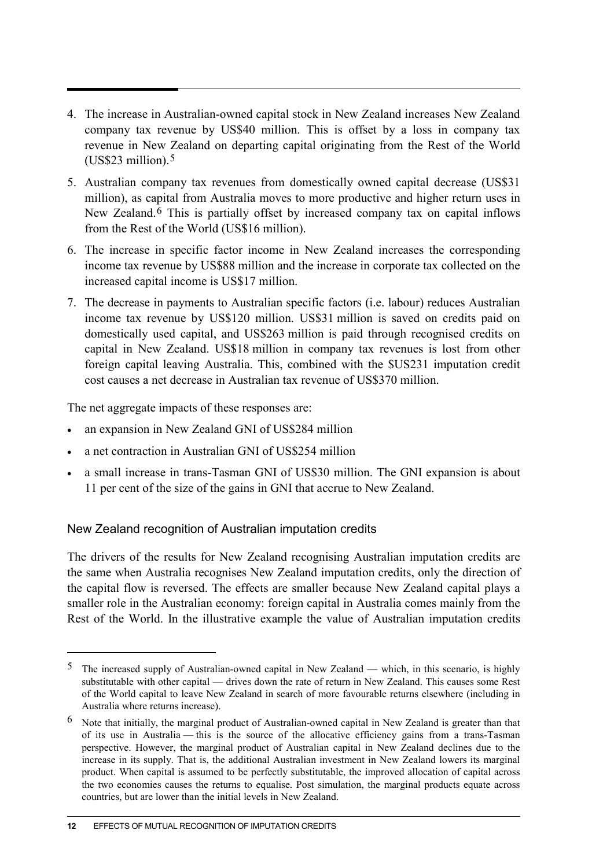- 4. The increase in Australian-owned capital stock in New Zealand increases New Zealand company tax revenue by US\$40 million. This is offset by a loss in company tax revenue in New Zealand on departing capital originating from the Rest of the World  $(US$23 million).<sup>5</sup>$  $(US$23 million).<sup>5</sup>$  $(US$23 million).<sup>5</sup>$
- 5. Australian company tax revenues from domestically owned capital decrease (US\$31 million), as capital from Australia moves to more productive and higher return uses in New Zealand.[6](#page-11-1) This is partially offset by increased company tax on capital inflows from the Rest of the World (US\$16 million).
- 6. The increase in specific factor income in New Zealand increases the corresponding income tax revenue by US\$88 million and the increase in corporate tax collected on the increased capital income is US\$17 million.
- 7. The decrease in payments to Australian specific factors (i.e. labour) reduces Australian income tax revenue by US\$120 million. US\$31 million is saved on credits paid on domestically used capital, and US\$263 million is paid through recognised credits on capital in New Zealand. US\$18 million in company tax revenues is lost from other foreign capital leaving Australia. This, combined with the \$US231 imputation credit cost causes a net decrease in Australian tax revenue of US\$370 million.

The net aggregate impacts of these responses are:

- an expansion in New Zealand GNI of US\$284 million
- a net contraction in Australian GNI of US\$254 million
- a small increase in trans-Tasman GNI of US\$30 million. The GNI expansion is about 11 per cent of the size of the gains in GNI that accrue to New Zealand.

New Zealand recognition of Australian imputation credits

The drivers of the results for New Zealand recognising Australian imputation credits are the same when Australia recognises New Zealand imputation credits, only the direction of the capital flow is reversed. The effects are smaller because New Zealand capital plays a smaller role in the Australian economy: foreign capital in Australia comes mainly from the Rest of the World. In the illustrative example the value of Australian imputation credits

 $\overline{a}$ 

<span id="page-11-0"></span><sup>&</sup>lt;sup>5</sup> The increased supply of Australian-owned capital in New Zealand — which, in this scenario, is highly substitutable with other capital — drives down the rate of return in New Zealand. This causes some Rest of the World capital to leave New Zealand in search of more favourable returns elsewhere (including in Australia where returns increase).

<span id="page-11-1"></span><sup>&</sup>lt;sup>6</sup> Note that initially, the marginal product of Australian-owned capital in New Zealand is greater than that of its use in Australia — this is the source of the allocative efficiency gains from a trans-Tasman perspective. However, the marginal product of Australian capital in New Zealand declines due to the increase in its supply. That is, the additional Australian investment in New Zealand lowers its marginal product. When capital is assumed to be perfectly substitutable, the improved allocation of capital across the two economies causes the returns to equalise. Post simulation, the marginal products equate across countries, but are lower than the initial levels in New Zealand.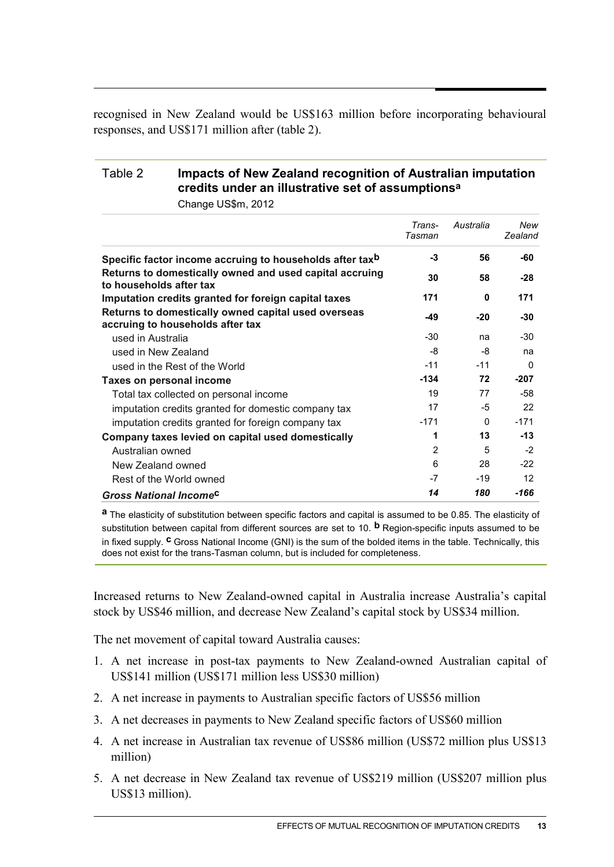recognised in New Zealand would be US\$163 million before incorporating behavioural responses, and US\$171 million after (table 2).

#### Table 2 **Impacts of New Zealand recognition of Australian imputation credits under an illustrative set of assumptionsa**

Change US\$m, 2012

|                                                                                         | Trans-<br>Tasman | Australia | New<br>Zealand |
|-----------------------------------------------------------------------------------------|------------------|-----------|----------------|
| Specific factor income accruing to households after tax <sup>b</sup>                    | $-3$             | 56        | -60            |
| Returns to domestically owned and used capital accruing<br>to households after tax      | 30               | 58        | $-28$          |
| Imputation credits granted for foreign capital taxes                                    | 171              | $\bf{0}$  | 171            |
| Returns to domestically owned capital used overseas<br>accruing to households after tax | -49              | $-20$     | -30            |
| used in Australia                                                                       | -30              | na        | $-30$          |
| used in New Zealand                                                                     | -8               | -8        | na             |
| used in the Rest of the World                                                           | $-11$            | $-11$     | $\Omega$       |
| Taxes on personal income                                                                | $-134$           | 72        | $-207$         |
| Total tax collected on personal income                                                  | 19               | 77        | -58            |
| imputation credits granted for domestic company tax                                     | 17               | -5        | 22             |
| imputation credits granted for foreign company tax                                      | $-171$           | $\Omega$  | $-171$         |
| Company taxes levied on capital used domestically                                       | 1                | 13        | $-13$          |
| Australian owned                                                                        | 2                | 5         | $-2$           |
| New Zealand owned                                                                       | 6                | 28        | $-22$          |
| Rest of the World owned                                                                 | -7               | $-19$     | 12             |
| <b>Gross National Income<sup>C</sup></b>                                                | 14               | 180       | -166           |

**a** The elasticity of substitution between specific factors and capital is assumed to be 0.85. The elasticity of substitution between capital from different sources are set to 10. **b** Region-specific inputs assumed to be in fixed supply. **c** Gross National Income (GNI) is the sum of the bolded items in the table. Technically, this does not exist for the trans-Tasman column, but is included for completeness.

Increased returns to New Zealand-owned capital in Australia increase Australia's capital stock by US\$46 million, and decrease New Zealand's capital stock by US\$34 million.

The net movement of capital toward Australia causes:

- 1. A net increase in post-tax payments to New Zealand-owned Australian capital of US\$141 million (US\$171 million less US\$30 million)
- 2. A net increase in payments to Australian specific factors of US\$56 million
- 3. A net decreases in payments to New Zealand specific factors of US\$60 million
- 4. A net increase in Australian tax revenue of US\$86 million (US\$72 million plus US\$13 million)
- 5. A net decrease in New Zealand tax revenue of US\$219 million (US\$207 million plus US\$13 million).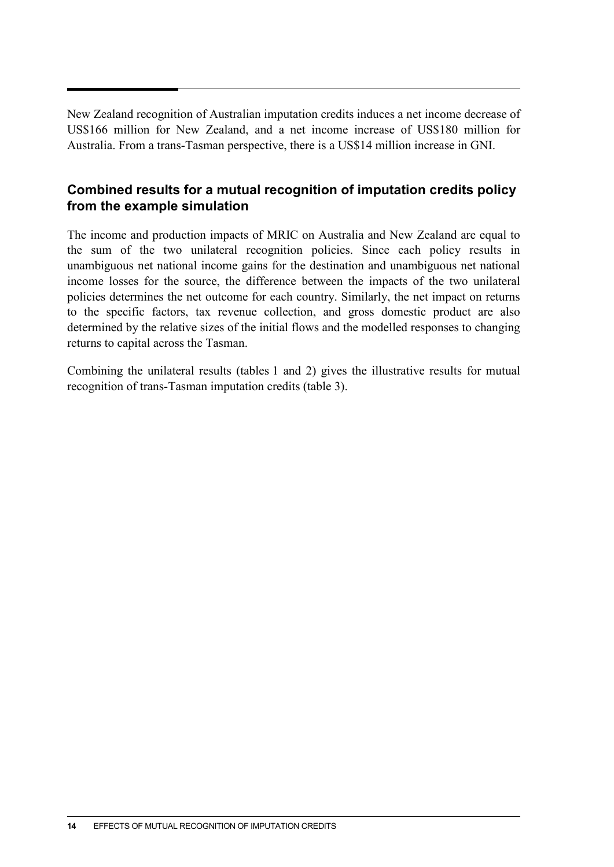New Zealand recognition of Australian imputation credits induces a net income decrease of US\$166 million for New Zealand, and a net income increase of US\$180 million for Australia. From a trans-Tasman perspective, there is a US\$14 million increase in GNI.

#### **Combined results for a mutual recognition of imputation credits policy from the example simulation**

The income and production impacts of MRIC on Australia and New Zealand are equal to the sum of the two unilateral recognition policies. Since each policy results in unambiguous net national income gains for the destination and unambiguous net national income losses for the source, the difference between the impacts of the two unilateral policies determines the net outcome for each country. Similarly, the net impact on returns to the specific factors, tax revenue collection, and gross domestic product are also determined by the relative sizes of the initial flows and the modelled responses to changing returns to capital across the Tasman.

Combining the unilateral results (tables 1 and 2) gives the illustrative results for mutual recognition of trans-Tasman imputation credits (table 3).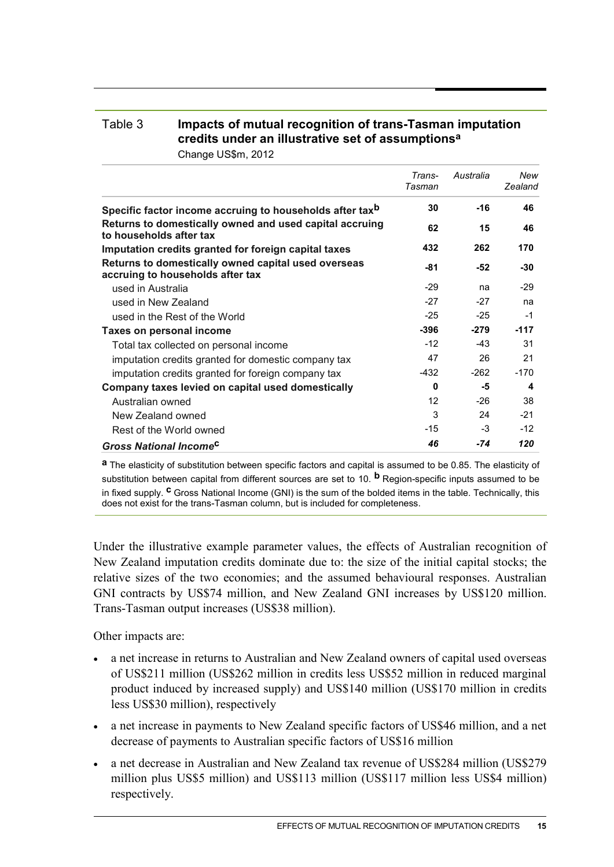### Table 3 **Impacts of mutual recognition of trans-Tasman imputation credits under an illustrative set of assumptionsa**

Change US\$m, 2012

|                                                                                         | Trans-<br>Tasman | Australia | New<br>Zealand |
|-----------------------------------------------------------------------------------------|------------------|-----------|----------------|
| Specific factor income accruing to households after tax <sup>b</sup>                    | 30               | $-16$     | 46             |
| Returns to domestically owned and used capital accruing<br>to households after tax      | 62               | 15        | 46             |
| Imputation credits granted for foreign capital taxes                                    | 432              | 262       | 170            |
| Returns to domestically owned capital used overseas<br>accruing to households after tax | -81              | -52       | $-30$          |
| used in Australia                                                                       | $-29$            | na        | $-29$          |
| used in New Zealand                                                                     | $-27$            | $-27$     | na             |
| used in the Rest of the World                                                           | $-25$            | $-25$     | $-1$           |
| Taxes on personal income                                                                | $-396$           | $-279$    | $-117$         |
| Total tax collected on personal income                                                  | $-12$            | -43       | 31             |
| imputation credits granted for domestic company tax                                     | 47               | 26        | 21             |
| imputation credits granted for foreign company tax                                      | -432             | $-262$    | $-170$         |
| Company taxes levied on capital used domestically                                       | $\bf{0}$         | -5        | 4              |
| Australian owned                                                                        | 12               | -26       | 38             |
| New Zealand owned                                                                       | 3                | 24        | $-21$          |
| Rest of the World owned                                                                 | $-15$            | $-3$      | $-12$          |
| <b>Gross National Income<sup>c</sup></b>                                                | 46               | -74       | 120            |

**a** The elasticity of substitution between specific factors and capital is assumed to be 0.85. The elasticity of substitution between capital from different sources are set to 10. **b** Region-specific inputs assumed to be in fixed supply. **c** Gross National Income (GNI) is the sum of the bolded items in the table. Technically, this does not exist for the trans-Tasman column, but is included for completeness.

Under the illustrative example parameter values, the effects of Australian recognition of New Zealand imputation credits dominate due to: the size of the initial capital stocks; the relative sizes of the two economies; and the assumed behavioural responses. Australian GNI contracts by US\$74 million, and New Zealand GNI increases by US\$120 million. Trans-Tasman output increases (US\$38 million).

Other impacts are:

- a net increase in returns to Australian and New Zealand owners of capital used overseas of US\$211 million (US\$262 million in credits less US\$52 million in reduced marginal product induced by increased supply) and US\$140 million (US\$170 million in credits less US\$30 million), respectively
- a net increase in payments to New Zealand specific factors of US\$46 million, and a net decrease of payments to Australian specific factors of US\$16 million
- a net decrease in Australian and New Zealand tax revenue of US\$284 million (US\$279 million plus US\$5 million) and US\$113 million (US\$117 million less US\$4 million) respectively.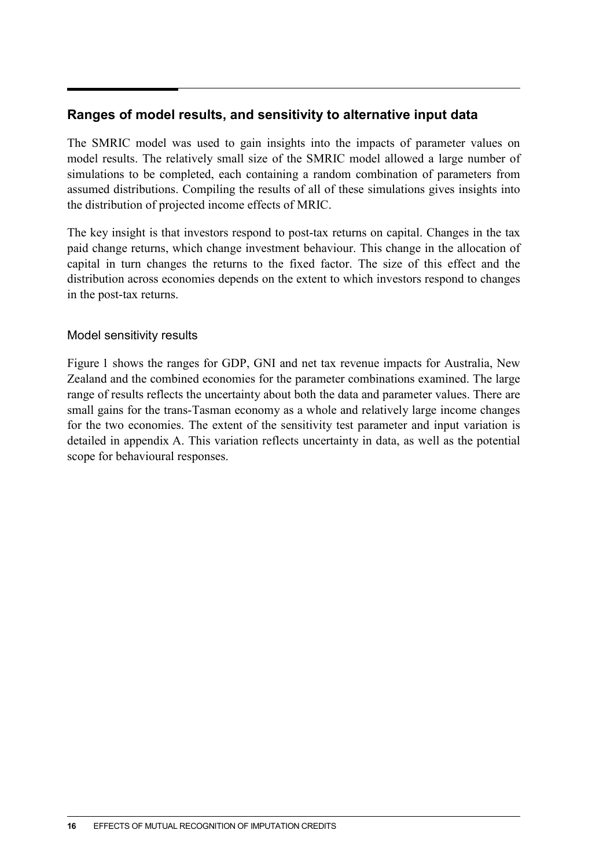#### **Ranges of model results, and sensitivity to alternative input data**

The SMRIC model was used to gain insights into the impacts of parameter values on model results. The relatively small size of the SMRIC model allowed a large number of simulations to be completed, each containing a random combination of parameters from assumed distributions. Compiling the results of all of these simulations gives insights into the distribution of projected income effects of MRIC.

The key insight is that investors respond to post-tax returns on capital. Changes in the tax paid change returns, which change investment behaviour. This change in the allocation of capital in turn changes the returns to the fixed factor. The size of this effect and the distribution across economies depends on the extent to which investors respond to changes in the post-tax returns.

#### Model sensitivity results

Figure 1 shows the ranges for GDP, GNI and net tax revenue impacts for Australia, New Zealand and the combined economies for the parameter combinations examined. The large range of results reflects the uncertainty about both the data and parameter values. There are small gains for the trans-Tasman economy as a whole and relatively large income changes for the two economies. The extent of the sensitivity test parameter and input variation is detailed in appendix A. This variation reflects uncertainty in data, as well as the potential scope for behavioural responses.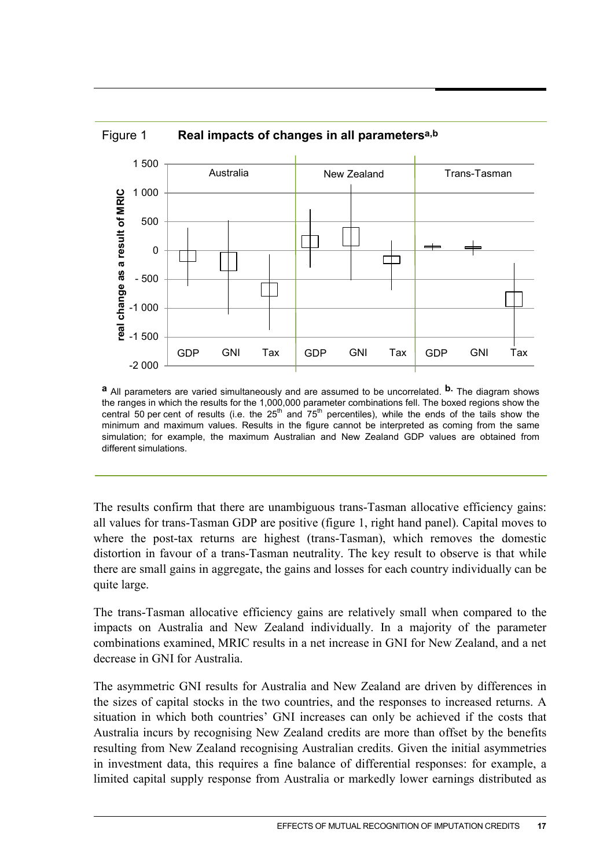

Figure 1 **Real impacts of changes in all parametersa,b**

**a** All parameters are varied simultaneously and are assumed to be uncorrelated. **b.** The diagram shows the ranges in which the results for the 1,000,000 parameter combinations fell. The boxed regions show the central 50 per cent of results (i.e. the  $25<sup>th</sup>$  and  $75<sup>th</sup>$  percentiles), while the ends of the tails show the minimum and maximum values. Results in the figure cannot be interpreted as coming from the same simulation; for example, the maximum Australian and New Zealand GDP values are obtained from

different simulations.

The results confirm that there are unambiguous trans-Tasman allocative efficiency gains: all values for trans-Tasman GDP are positive (figure 1, right hand panel). Capital moves to where the post-tax returns are highest (trans-Tasman), which removes the domestic distortion in favour of a trans-Tasman neutrality. The key result to observe is that while there are small gains in aggregate, the gains and losses for each country individually can be quite large.

The trans-Tasman allocative efficiency gains are relatively small when compared to the impacts on Australia and New Zealand individually. In a majority of the parameter combinations examined, MRIC results in a net increase in GNI for New Zealand, and a net decrease in GNI for Australia.

The asymmetric GNI results for Australia and New Zealand are driven by differences in the sizes of capital stocks in the two countries, and the responses to increased returns. A situation in which both countries' GNI increases can only be achieved if the costs that Australia incurs by recognising New Zealand credits are more than offset by the benefits resulting from New Zealand recognising Australian credits. Given the initial asymmetries in investment data, this requires a fine balance of differential responses: for example, a limited capital supply response from Australia or markedly lower earnings distributed as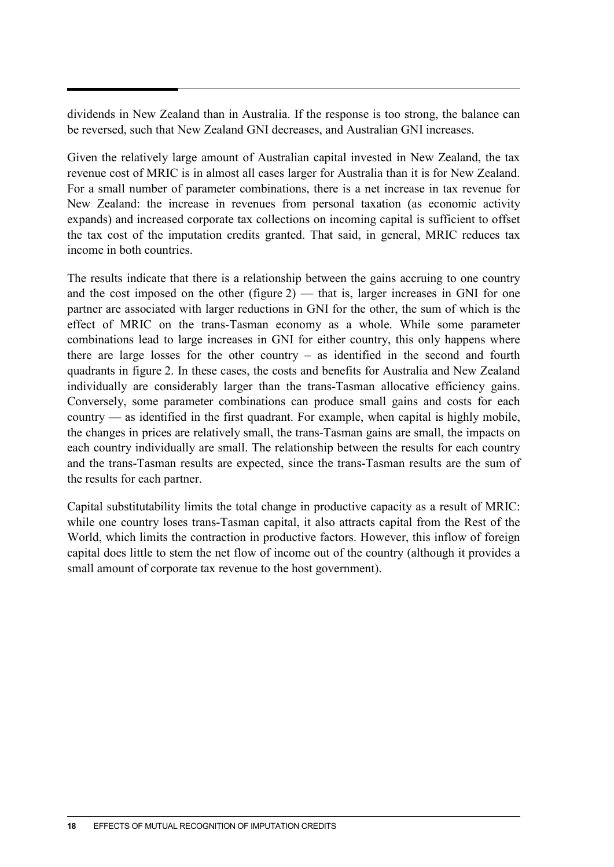dividends in New Zealand than in Australia. If the response is too strong, the balance can be reversed, such that New Zealand GNI decreases, and Australian GNI increases.

Given the relatively large amount of Australian capital invested in New Zealand, the tax revenue cost of MRIC is in almost all cases larger for Australia than it is for New Zealand. For a small number of parameter combinations, there is a net increase in tax revenue for New Zealand: the increase in revenues from personal taxation (as economic activity expands) and increased corporate tax collections on incoming capital is sufficient to offset the tax cost of the imputation credits granted. That said, in general, MRIC reduces tax income in both countries.

The results indicate that there is a relationship between the gains accruing to one country and the cost imposed on the other (figure  $2$ ) — that is, larger increases in GNI for one partner are associated with larger reductions in GNI for the other, the sum of which is the effect of MRIC on the trans-Tasman economy as a whole. While some parameter combinations lead to large increases in GNI for either country, this only happens where there are large losses for the other country – as identified in the second and fourth quadrants in figure 2. In these cases, the costs and benefits for Australia and New Zealand individually are considerably larger than the trans-Tasman allocative efficiency gains. Conversely, some parameter combinations can produce small gains and costs for each country — as identified in the first quadrant. For example, when capital is highly mobile, the changes in prices are relatively small, the trans-Tasman gains are small, the impacts on each country individually are small. The relationship between the results for each country and the trans-Tasman results are expected, since the trans-Tasman results are the sum of the results for each partner.

Capital substitutability limits the total change in productive capacity as a result of MRIC: while one country loses trans-Tasman capital, it also attracts capital from the Rest of the World, which limits the contraction in productive factors. However, this inflow of foreign capital does little to stem the net flow of income out of the country (although it provides a small amount of corporate tax revenue to the host government).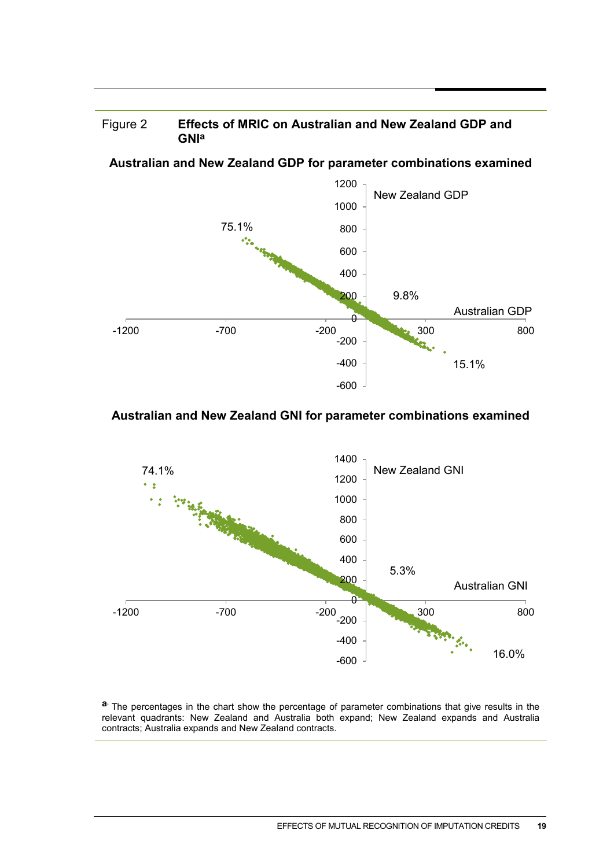

**Australian and New Zealand GDP for parameter combinations examined**



#### **Australian and New Zealand GNI for parameter combinations examined**



a. The percentages in the chart show the percentage of parameter combinations that give results in the relevant quadrants: New Zealand and Australia both expand; New Zealand expands and Australia contracts; Australia expands and New Zealand contracts.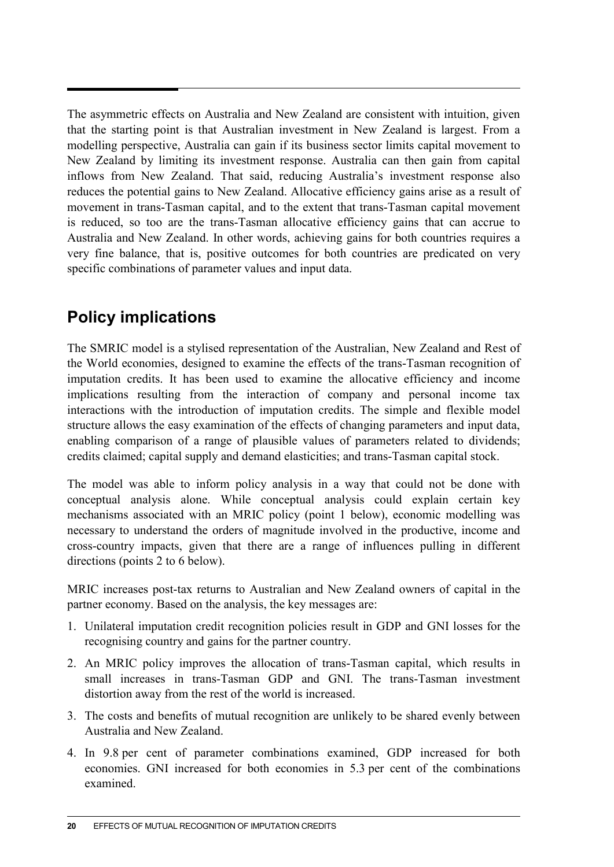The asymmetric effects on Australia and New Zealand are consistent with intuition, given that the starting point is that Australian investment in New Zealand is largest. From a modelling perspective, Australia can gain if its business sector limits capital movement to New Zealand by limiting its investment response. Australia can then gain from capital inflows from New Zealand. That said, reducing Australia's investment response also reduces the potential gains to New Zealand. Allocative efficiency gains arise as a result of movement in trans-Tasman capital, and to the extent that trans-Tasman capital movement is reduced, so too are the trans-Tasman allocative efficiency gains that can accrue to Australia and New Zealand. In other words, achieving gains for both countries requires a very fine balance, that is, positive outcomes for both countries are predicated on very specific combinations of parameter values and input data.

# **Policy implications**

The SMRIC model is a stylised representation of the Australian, New Zealand and Rest of the World economies, designed to examine the effects of the trans-Tasman recognition of imputation credits. It has been used to examine the allocative efficiency and income implications resulting from the interaction of company and personal income tax interactions with the introduction of imputation credits. The simple and flexible model structure allows the easy examination of the effects of changing parameters and input data, enabling comparison of a range of plausible values of parameters related to dividends; credits claimed; capital supply and demand elasticities; and trans-Tasman capital stock.

The model was able to inform policy analysis in a way that could not be done with conceptual analysis alone. While conceptual analysis could explain certain key mechanisms associated with an MRIC policy (point 1 below), economic modelling was necessary to understand the orders of magnitude involved in the productive, income and cross-country impacts, given that there are a range of influences pulling in different directions (points 2 to 6 below).

MRIC increases post-tax returns to Australian and New Zealand owners of capital in the partner economy. Based on the analysis, the key messages are:

- 1. Unilateral imputation credit recognition policies result in GDP and GNI losses for the recognising country and gains for the partner country.
- 2. An MRIC policy improves the allocation of trans-Tasman capital, which results in small increases in trans-Tasman GDP and GNI. The trans-Tasman investment distortion away from the rest of the world is increased.
- 3. The costs and benefits of mutual recognition are unlikely to be shared evenly between Australia and New Zealand.
- 4. In 9.8 per cent of parameter combinations examined, GDP increased for both economies. GNI increased for both economies in 5.3 per cent of the combinations examined.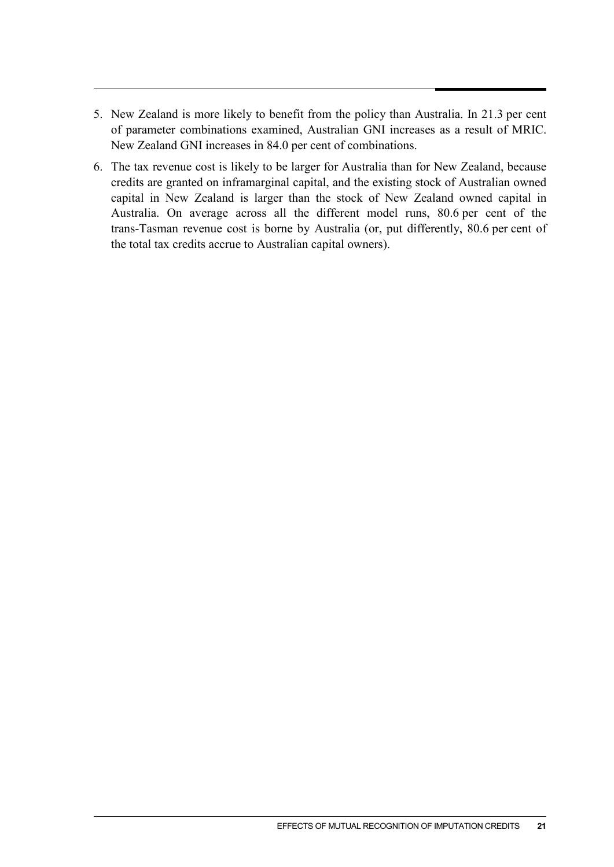- 5. New Zealand is more likely to benefit from the policy than Australia. In 21.3 per cent of parameter combinations examined, Australian GNI increases as a result of MRIC. New Zealand GNI increases in 84.0 per cent of combinations.
- 6. The tax revenue cost is likely to be larger for Australia than for New Zealand, because credits are granted on inframarginal capital, and the existing stock of Australian owned capital in New Zealand is larger than the stock of New Zealand owned capital in Australia. On average across all the different model runs, 80.6 per cent of the trans-Tasman revenue cost is borne by Australia (or, put differently, 80.6 per cent of the total tax credits accrue to Australian capital owners).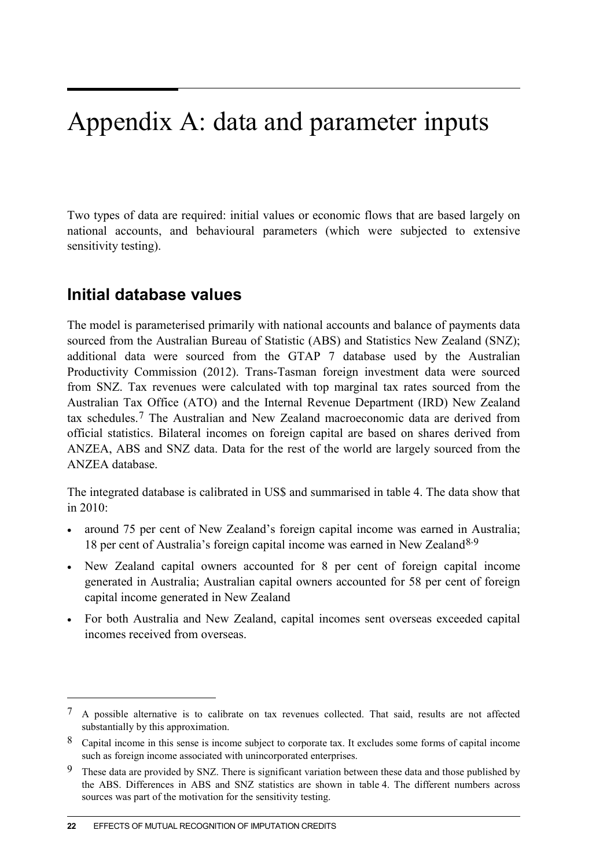# Appendix A: data and parameter inputs

Two types of data are required: initial values or economic flows that are based largely on national accounts, and behavioural parameters (which were subjected to extensive sensitivity testing).

## **Initial database values**

The model is parameterised primarily with national accounts and balance of payments data sourced from the Australian Bureau of Statistic (ABS) and Statistics New Zealand (SNZ); additional data were sourced from the GTAP 7 database used by the Australian Productivity Commission (2012). Trans-Tasman foreign investment data were sourced from SNZ. Tax revenues were calculated with top marginal tax rates sourced from the Australian Tax Office (ATO) and the Internal Revenue Department (IRD) New Zealand tax schedules.[7](#page-21-0) The Australian and New Zealand macroeconomic data are derived from official statistics. Bilateral incomes on foreign capital are based on shares derived from ANZEA, ABS and SNZ data. Data for the rest of the world are largely sourced from the ANZEA database.

The integrated database is calibrated in US\$ and summarised in table 4. The data show that in 2010:

- around 75 per cent of New Zealand's foreign capital income was earned in Australia; 18 per cent of Australia's foreign capital income was earned in New Zealand<sup>[8,](#page-21-1)[9](#page-21-2)</sup>
- New Zealand capital owners accounted for 8 per cent of foreign capital income generated in Australia; Australian capital owners accounted for 58 per cent of foreign capital income generated in New Zealand
- For both Australia and New Zealand, capital incomes sent overseas exceeded capital incomes received from overseas.

 $\overline{a}$ 

<span id="page-21-0"></span><sup>7</sup> A possible alternative is to calibrate on tax revenues collected. That said, results are not affected substantially by this approximation.

<span id="page-21-1"></span><sup>8</sup> Capital income in this sense is income subject to corporate tax. It excludes some forms of capital income such as foreign income associated with unincorporated enterprises.

<span id="page-21-2"></span><sup>9</sup> These data are provided by SNZ. There is significant variation between these data and those published by the ABS. Differences in ABS and SNZ statistics are shown in table 4. The different numbers across sources was part of the motivation for the sensitivity testing.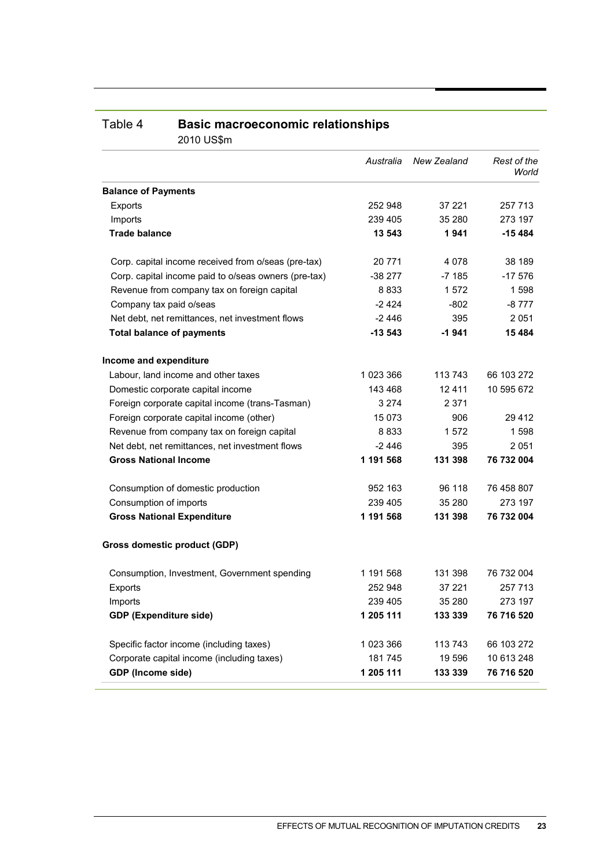| 2010 US\$M                                           |           |             |                      |
|------------------------------------------------------|-----------|-------------|----------------------|
|                                                      | Australia | New Zealand | Rest of the<br>World |
| <b>Balance of Payments</b>                           |           |             |                      |
| Exports                                              | 252 948   | 37 221      | 257 713              |
| Imports                                              | 239 405   | 35 280      | 273 197              |
| <b>Trade balance</b>                                 | 13 543    | 1941        | $-15484$             |
| Corp. capital income received from o/seas (pre-tax)  | 20 771    | 4 0 7 8     | 38 189               |
| Corp. capital income paid to o/seas owners (pre-tax) | $-38277$  | $-7185$     | $-17576$             |
| Revenue from company tax on foreign capital          | 8833      | 1572        | 1598                 |
| Company tax paid o/seas                              | $-2424$   | -802        | -8 777               |
| Net debt, net remittances, net investment flows      | -2 446    | 395         | 2051                 |
| <b>Total balance of payments</b>                     | $-13543$  | $-1941$     | 15 4 84              |
| Income and expenditure                               |           |             |                      |
| Labour, land income and other taxes                  | 1 023 366 | 113 743     | 66 103 272           |
| Domestic corporate capital income                    | 143 468   | 12411       | 10 595 672           |
| Foreign corporate capital income (trans-Tasman)      | 3 2 7 4   | 2 371       |                      |
| Foreign corporate capital income (other)             | 15 0 73   | 906         | 29 4 12              |
| Revenue from company tax on foreign capital          | 8833      | 1572        | 1598                 |
| Net debt, net remittances, net investment flows      | $-2446$   | 395         | 2051                 |
| <b>Gross National Income</b>                         | 1 191 568 | 131 398     | 76 732 004           |
| Consumption of domestic production                   | 952 163   | 96 118      | 76 458 807           |
| Consumption of imports                               | 239 405   | 35 280      | 273 197              |
| <b>Gross National Expenditure</b>                    | 1 191 568 | 131 398     | 76 732 004           |
| <b>Gross domestic product (GDP)</b>                  |           |             |                      |
| Consumption, Investment, Government spending         | 1 191 568 | 131 398     | 76 732 004           |
| Exports                                              | 252 948   | 37 221      | 257 713              |
| Imports                                              | 239 405   | 35 280      | 273 197              |
| <b>GDP (Expenditure side)</b>                        | 1 205 111 | 133 339     | 76 716 520           |
| Specific factor income (including taxes)             | 1 023 366 | 113 743     | 66 103 272           |
| Corporate capital income (including taxes)           | 181745    | 19 596      | 10 613 248           |
| GDP (Income side)                                    | 1 205 111 | 133 339     | 76 716 520           |

#### Table 4 **Basic macroeconomic relationships** 2010 US\$m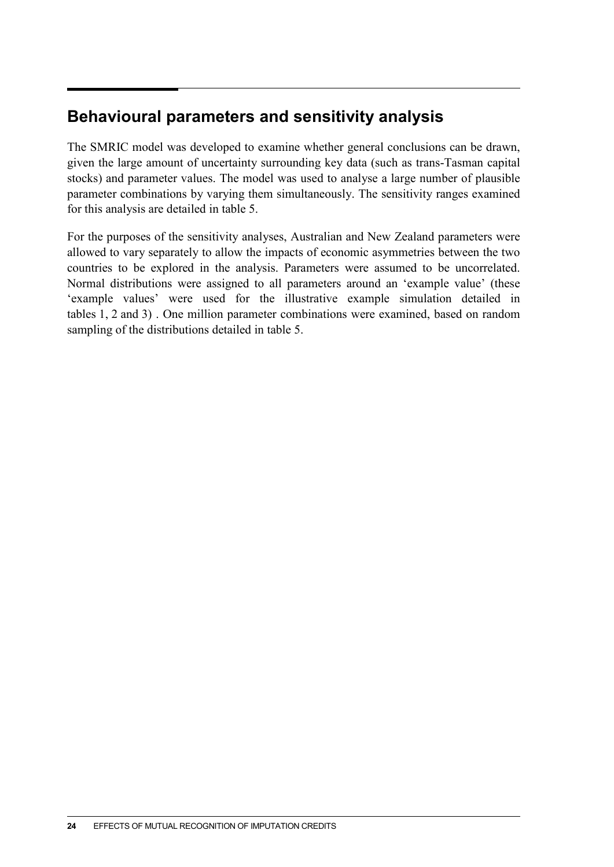## **Behavioural parameters and sensitivity analysis**

The SMRIC model was developed to examine whether general conclusions can be drawn, given the large amount of uncertainty surrounding key data (such as trans-Tasman capital stocks) and parameter values. The model was used to analyse a large number of plausible parameter combinations by varying them simultaneously. The sensitivity ranges examined for this analysis are detailed in table 5.

For the purposes of the sensitivity analyses, Australian and New Zealand parameters were allowed to vary separately to allow the impacts of economic asymmetries between the two countries to be explored in the analysis. Parameters were assumed to be uncorrelated. Normal distributions were assigned to all parameters around an 'example value' (these 'example values' were used for the illustrative example simulation detailed in tables 1, 2 and 3) . One million parameter combinations were examined, based on random sampling of the distributions detailed in table 5.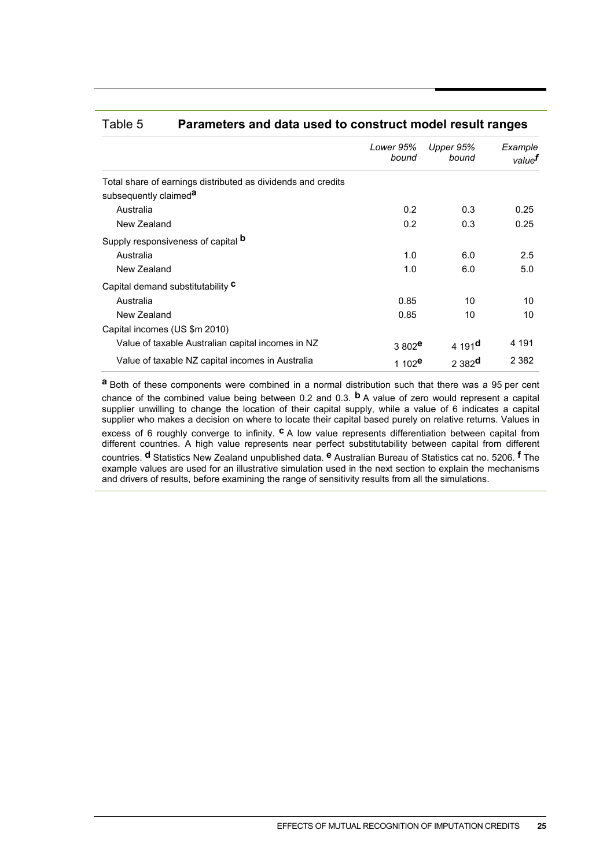|                                                              | Lower 95%<br>bound | Upper 95%<br>bound  | Example<br>value <sup>t</sup> |
|--------------------------------------------------------------|--------------------|---------------------|-------------------------------|
| Total share of earnings distributed as dividends and credits |                    |                     |                               |
| subsequently claimed <sup>a</sup>                            |                    |                     |                               |
| Australia                                                    | 0.2                | 0.3                 | 0.25                          |
| New Zealand                                                  | 0.2                | 0.3                 | 0.25                          |
| Supply responsiveness of capital <b>b</b>                    |                    |                     |                               |
| Australia                                                    | 1.0                | 6.0                 | 2.5                           |
| New Zealand                                                  | 1.0                | 6.0                 | 5.0                           |
| Capital demand substitutability C                            |                    |                     |                               |
| Australia                                                    | 0.85               | 10                  | 10                            |
| New Zealand                                                  | 0.85               | 10                  | 10                            |
| Capital incomes (US \$m 2010)                                |                    |                     |                               |
| Value of taxable Australian capital incomes in NZ            | 3 802 <sup>e</sup> | 4 191 <sup>d</sup>  | 4 1 9 1                       |
| Value of taxable NZ capital incomes in Australia             | 1 102 <sup>e</sup> | $2382$ <sup>d</sup> | 2 3 8 2                       |

#### Table 5 **Parameters and data used to construct model result ranges**

**a** Both of these components were combined in a normal distribution such that there was a 95 per cent chance of the combined value being between 0.2 and 0.3. **b** A value of zero would represent a capital supplier unwilling to change the location of their capital supply, while a value of 6 indicates a capital supplier who makes a decision on where to locate their capital based purely on relative returns. Values in excess of 6 roughly converge to infinity. **c** A low value represents differentiation between capital from different countries. A high value represents near perfect substitutability between capital from different countries. **d** Statistics New Zealand unpublished data. **e** Australian Bureau of Statistics cat no. 5206. **f** The example values are used for an illustrative simulation used in the next section to explain the mechanisms and drivers of results, before examining the range of sensitivity results from all the simulations.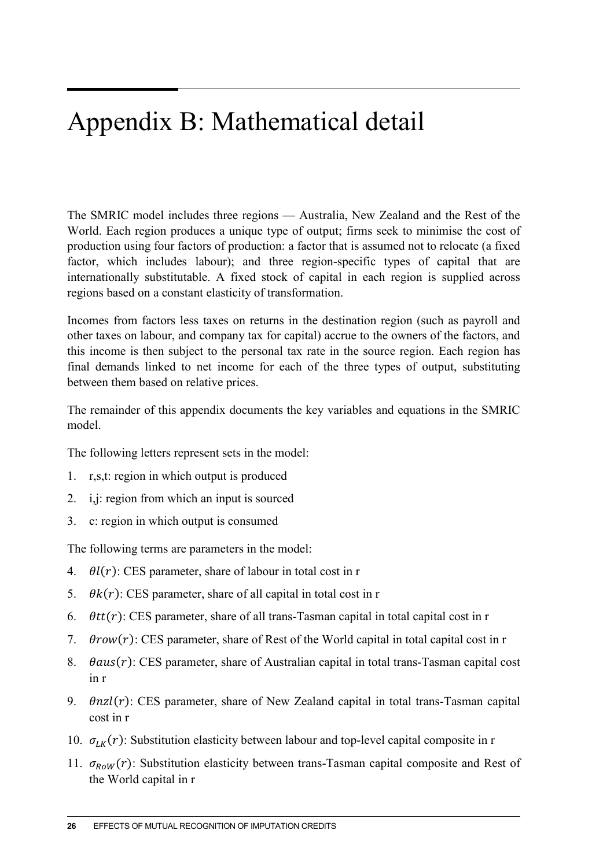# Appendix B: Mathematical detail

The SMRIC model includes three regions — Australia, New Zealand and the Rest of the World. Each region produces a unique type of output; firms seek to minimise the cost of production using four factors of production: a factor that is assumed not to relocate (a fixed factor, which includes labour); and three region-specific types of capital that are internationally substitutable. A fixed stock of capital in each region is supplied across regions based on a constant elasticity of transformation.

Incomes from factors less taxes on returns in the destination region (such as payroll and other taxes on labour, and company tax for capital) accrue to the owners of the factors, and this income is then subject to the personal tax rate in the source region. Each region has final demands linked to net income for each of the three types of output, substituting between them based on relative prices.

The remainder of this appendix documents the key variables and equations in the SMRIC model.

The following letters represent sets in the model:

- 1. r,s,t: region in which output is produced
- 2. i,j: region from which an input is sourced
- 3. c: region in which output is consumed

The following terms are parameters in the model:

- 4.  $\theta l(r)$ : CES parameter, share of labour in total cost in r
- 5.  $\theta k(r)$ : CES parameter, share of all capital in total cost in r
- 6.  $\theta tt(r)$ : CES parameter, share of all trans-Tasman capital in total capital cost in r
- 7.  $\theta row(r)$ : CES parameter, share of Rest of the World capital in total capital cost in r
- 8.  $\theta$ aus $(r)$ : CES parameter, share of Australian capital in total trans-Tasman capital cost in r
- 9.  $\theta$ nzl $(r)$ : CES parameter, share of New Zealand capital in total trans-Tasman capital cost in r
- 10.  $\sigma_{LK}(r)$ : Substitution elasticity between labour and top-level capital composite in r
- 11.  $\sigma_{Row}(r)$ : Substitution elasticity between trans-Tasman capital composite and Rest of the World capital in r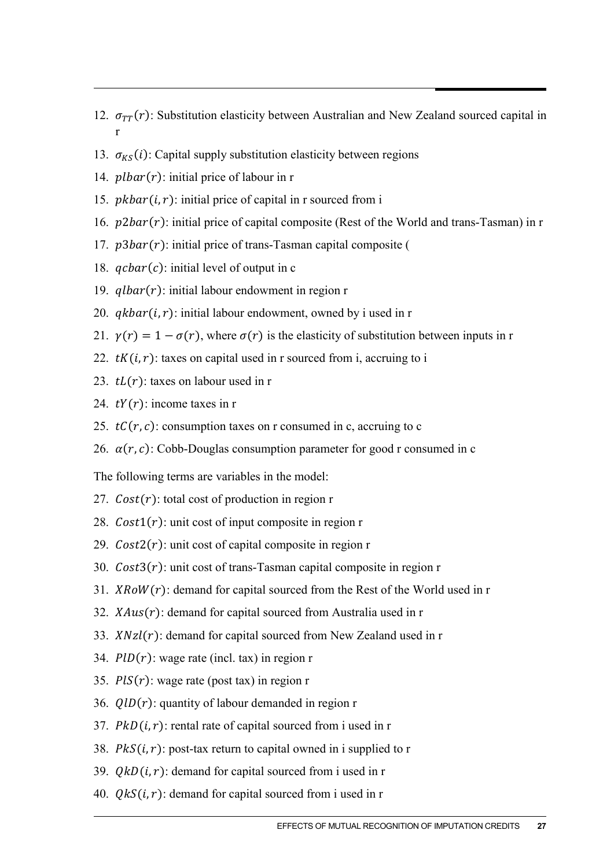- 12.  $\sigma_{TT}(r)$ : Substitution elasticity between Australian and New Zealand sourced capital in r
- 13.  $\sigma_{KS}(i)$ : Capital supply substitution elasticity between regions
- 14.  $plbar(r)$ : initial price of labour in r
- 15.  $pkbar(i, r)$ : initial price of capital in r sourced from i
- 16.  $p2bar(r)$ : initial price of capital composite (Rest of the World and trans-Tasman) in r
- 17.  $p3bar(r)$ : initial price of trans-Tasman capital composite (
- 18.  $qcbar(c)$ : initial level of output in c
- 19.  $qlbar(r)$ : initial labour endowment in region r
- 20.  $q kbar(i, r)$ : initial labour endowment, owned by i used in r
- 21.  $\gamma(r) = 1 \sigma(r)$ , where  $\sigma(r)$  is the elasticity of substitution between inputs in r
- 22.  $tK(i, r)$ : taxes on capital used in r sourced from i, accruing to i
- 23.  $tL(r)$ : taxes on labour used in r
- 24.  $tY(r)$ : income taxes in r
- 25.  $tC(r, c)$ : consumption taxes on r consumed in c, accruing to c
- 26.  $\alpha(r, c)$ : Cobb-Douglas consumption parameter for good r consumed in c

The following terms are variables in the model:

- 27.  $Cost(r)$ : total cost of production in region r
- 28.  $Cost1(r)$ : unit cost of input composite in region r
- 29.  $Cost2(r)$ : unit cost of capital composite in region r
- 30.  $Cost3(r)$ : unit cost of trans-Tasman capital composite in region r
- 31.  $XRow(r)$ : demand for capital sourced from the Rest of the World used in r
- 32.  $XAux(r)$ : demand for capital sourced from Australia used in r
- 33.  $XNzl(r)$ : demand for capital sourced from New Zealand used in r
- 34.  $PID(r)$ : wage rate (incl. tax) in region r
- 35.  $PIS(r)$ : wage rate (post tax) in region r
- 36.  $QID(r)$ : quantity of labour demanded in region r
- 37.  $PkD(i, r)$ : rental rate of capital sourced from i used in r
- 38.  $P kS(i, r)$ : post-tax return to capital owned in i supplied to r
- 39.  $QkD(i, r)$ : demand for capital sourced from i used in r
- 40.  $QkS(i, r)$ : demand for capital sourced from i used in r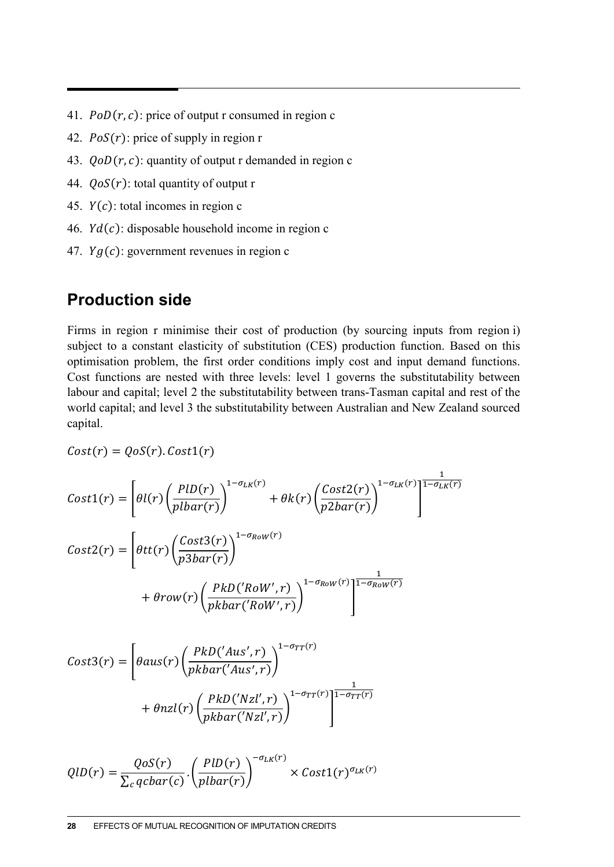- 41.  $PoD(r, c)$ : price of output r consumed in region c
- 42.  $PoS(r)$ : price of supply in region r
- 43.  $QoD(r, c)$ : quantity of output r demanded in region c
- 44.  $QoS(r)$ : total quantity of output r
- 45.  $Y(c)$ : total incomes in region c
- 46.  $Yd(c)$ : disposable household income in region c
- 47.  $Yg(c)$ : government revenues in region c

## **Production side**

Firms in region r minimise their cost of production (by sourcing inputs from region i) subject to a constant elasticity of substitution (CES) production function. Based on this optimisation problem, the first order conditions imply cost and input demand functions. Cost functions are nested with three levels: level 1 governs the substitutability between labour and capital; level 2 the substitutability between trans-Tasman capital and rest of the world capital; and level 3 the substitutability between Australian and New Zealand sourced capital.

$$
Cost(r) = QoS(r).Cost1(r)
$$

$$
Cost1(r) = \left[ \theta l(r) \left( \frac{PID(r)}{plbar(r)} \right)^{1-\sigma_{LK}(r)} + \theta k(r) \left( \frac{Cost2(r)}{p2bar(r)} \right)^{1-\sigma_{LK}(r)} \right]^{\frac{1}{1-\sigma_{LK}(r)}}
$$

$$
Cost2(r) = \left[ \theta t t(r) \left( \frac{Cost3(r)}{p3bar(r)} \right)^{1-\sigma_{Row}(r)} + \theta row(r) \left( \frac{PkD('Row', r)}{pkbar('Row', r)} \right)^{1-\sigma_{Row}(r)} \right]^{\frac{1}{1-\sigma_{Row}(r)}}
$$

$$
Cost3(r) = \left[\theta aus(r) \left(\frac{PkD('Aus', r)}{pkbar('Aus', r)}\right)^{1-\sigma_{TT}(r)} + \theta nzl(r) \left(\frac{PkD('Nzl', r)}{pkbar('Nzl', r)}\right)^{1-\sigma_{TT}(r)}\right]^{\frac{1}{1-\sigma_{TT}(r)}}
$$

$$
QID(r) = \frac{QoS(r)}{\sum_{c} qcbar(c)} \cdot \left(\frac{PID(r)}{plbar(r)}\right)^{-\sigma_{LK}(r)} \times Cost1(r)^{\sigma_{LK}(r)}
$$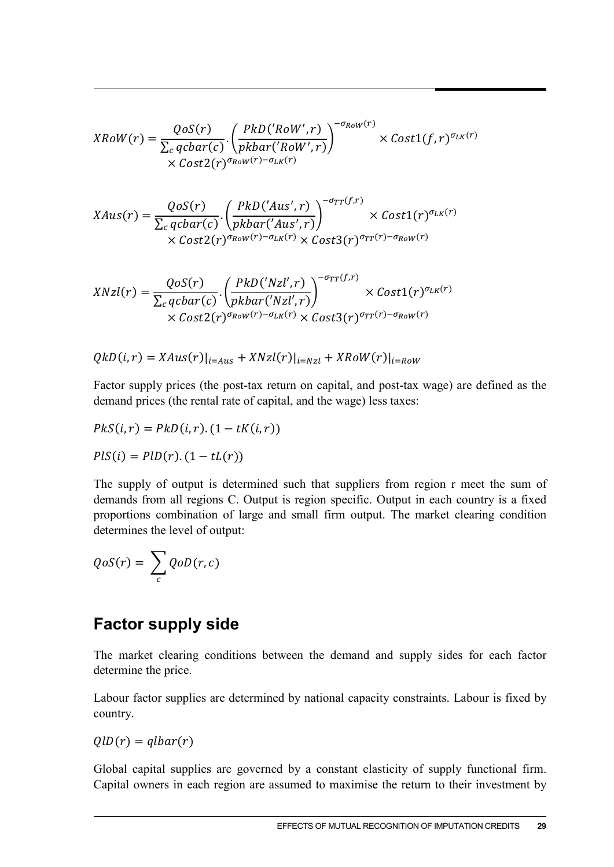$$
XRow(r) = \frac{QoS(r)}{\sum_{c} qcbar(c)} \cdot \left(\frac{PkD('Row',r)}{pkbar('Row',r)}\right)^{-\sigma_{Row}(r)} \times Cost1(f,r)^{\sigma_{LK}(r)}
$$
  
× Cost2(r) <sup>$\sigma_{Row}(r)-\sigma_{LK}(r)$</sup> 

$$
XAns(r) = \frac{QoS(r)}{\sum_{c} qcbar(c)} \cdot \left(\frac{PkD('Aus', r)}{pkbar('Aus', r)}\right)^{-\sigma_{TT}(f,r)} \times Cost1(r)^{\sigma_{LK}(r)} \times Cost2(r)^{\sigma_{Row}(r) - \sigma_{LK}(r)} \times Cost3(r)^{\sigma_{TT}(r) - \sigma_{Row}(r)}
$$

$$
XNzl(r) = \frac{QoS(r)}{\sum_{c} qcbar(c)} \cdot \left(\frac{PkD('Nzl', r)}{pkbar('Nzl', r)}\right)^{-\sigma_{TT}(f, r)} \times Cost1(r)^{\sigma_{LK}(r)} \times Cost2(r)^{\sigma_{Row}(r) - \sigma_{LK}(r)} \times Cost3(r)^{\sigma_{TT}(r) - \sigma_{Row}(r)}
$$

 $QkD(i, r) = XAus(r)|_{i = Aus} + XNzl(r)|_{i = Nzl} + XRow(r)|_{i = Row}$ 

Factor supply prices (the post-tax return on capital, and post-tax wage) are defined as the demand prices (the rental rate of capital, and the wage) less taxes:

$$
PkS(i,r) = PkD(i,r) \cdot (1 - tK(i,r))
$$
  

$$
PIS(i) = PID(r) \cdot (1 - tL(r))
$$

The supply of output is determined such that suppliers from region r meet the sum of demands from all regions C. Output is region specific. Output in each country is a fixed proportions combination of large and small firm output. The market clearing condition determines the level of output:

$$
QoS(r) = \sum_{c} QoD(r, c)
$$

## **Factor supply side**

The market clearing conditions between the demand and supply sides for each factor determine the price.

Labour factor supplies are determined by national capacity constraints. Labour is fixed by country.

 $QID(r) = qlbar(r)$ 

Global capital supplies are governed by a constant elasticity of supply functional firm. Capital owners in each region are assumed to maximise the return to their investment by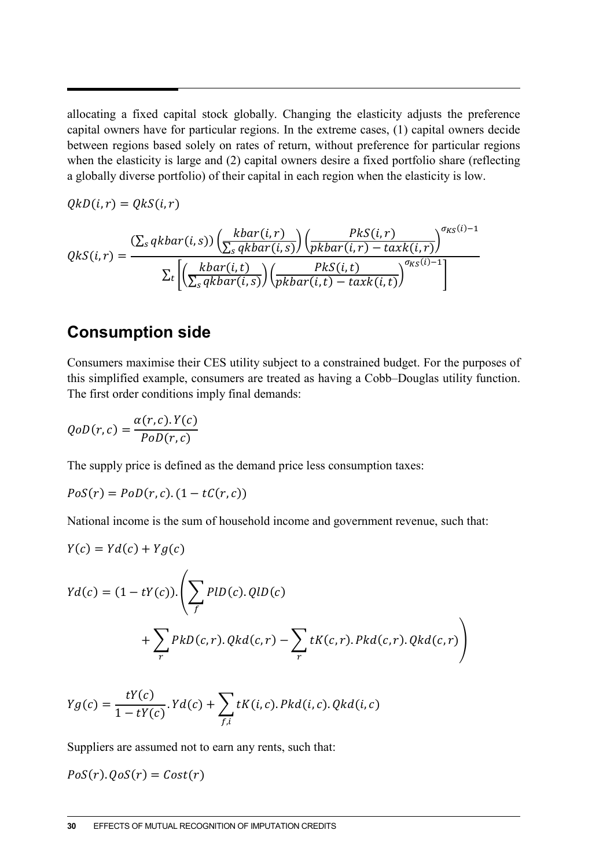allocating a fixed capital stock globally. Changing the elasticity adjusts the preference capital owners have for particular regions. In the extreme cases, (1) capital owners decide between regions based solely on rates of return, without preference for particular regions when the elasticity is large and (2) capital owners desire a fixed portfolio share (reflecting a globally diverse portfolio) of their capital in each region when the elasticity is low.

$$
QkD(i,r)=QkS(i,r)
$$

$$
QkS(i,r) = \frac{\left(\sum_{s} qkbar(i,s)\right)\left(\frac{kbar(i,r)}{\sum_{s} qkbar(i,s)}\right)\left(\frac{PKS(i,r)}{pkbar(i,r) - taxk(i,r)}\right)^{\sigma_{KS}(i)-1}}{\sum_{t} \left[\left(\frac{kbar(i,t)}{\sum_{s} qkbar(i,s)}\right)\left(\frac{PKS(i,t)}{pkbar(i,t) - taxk(i,t)}\right)^{\sigma_{KS}(i)-1}\right]}
$$

### **Consumption side**

Consumers maximise their CES utility subject to a constrained budget. For the purposes of this simplified example, consumers are treated as having a Cobb–Douglas utility function. The first order conditions imply final demands:

$$
QoD(r,c) = \frac{\alpha(r,c).Y(c)}{PoD(r,c)}
$$

The supply price is defined as the demand price less consumption taxes:

$$
PoS(r) = PoD(r, c) \cdot (1 - tC(r, c))
$$

National income is the sum of household income and government revenue, such that:

$$
Y(c) = Yd(c) + Yg(c)
$$
  
\n
$$
Yd(c) = (1 - tY(c)).\left(\sum_{f} PID(c).QID(c) + \sum_{r} PkD(c,r).Qkd(c,r) - \sum_{r} tK(c,r).Pkd(c,r).Qkd(c,r)\right)
$$

$$
Yg(c) = \frac{tY(c)}{1 - tY(c)} \cdot Yd(c) + \sum_{f,i} tK(i,c) \cdot Pkd(i,c) \cdot Qkd(i,c)
$$

Suppliers are assumed not to earn any rents, such that:

$$
PoS(r).QoS(r) = Cost(r)
$$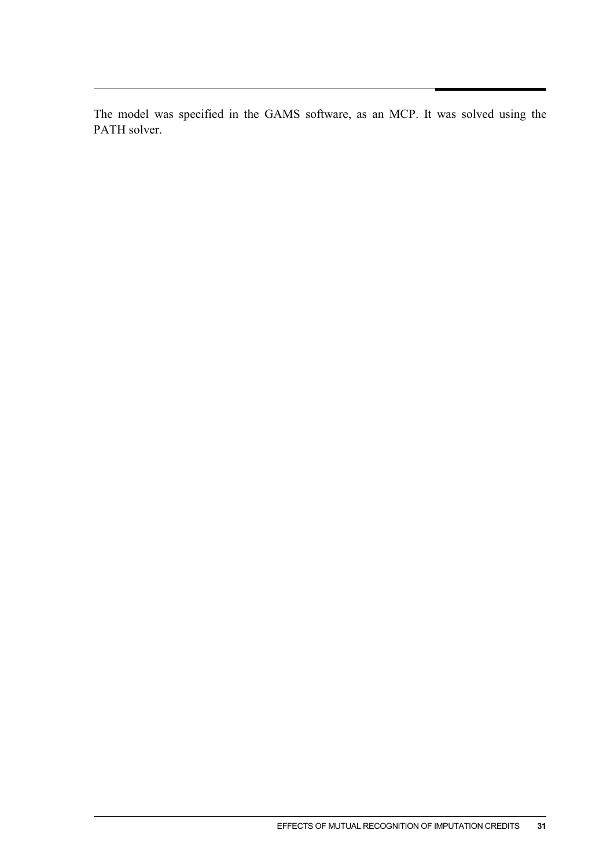The model was specified in the GAMS software, as an MCP. It was solved using the PATH solver.